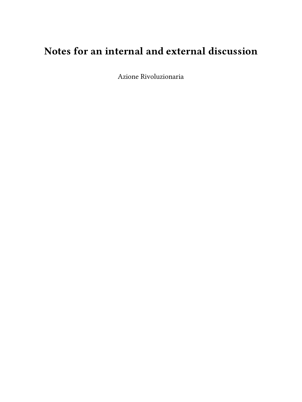# **Notes for an internal and external discussion**

Azione Rivoluzionaria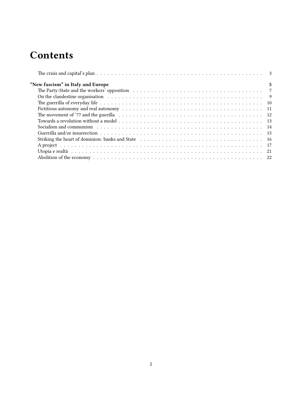# **Contents**

| "New fascism" in Italy and Europe | 5 |
|-----------------------------------|---|
|                                   |   |
|                                   |   |
|                                   |   |
|                                   |   |
|                                   |   |
|                                   |   |
|                                   |   |
|                                   |   |
|                                   |   |
|                                   |   |
|                                   |   |
|                                   |   |
|                                   |   |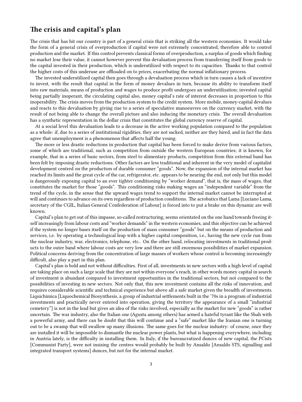# <span id="page-2-0"></span>**The crisis and capital's plan**

The crisis that has hit our country is part of a general crisis that is striking all the western economies. It would take the form of a general crisis of overproduction if capital were not extremely concentrated, therefore able to control production and the market. If this control prevents classical forms of overproduction, a surplus of goods which finding no market lose their value, it cannot however prevent this devaluation process from transferring itself from goods to the capital invested in their production, which is underutilized with respect to its capacities. Thanks to that control the higher costs of this underuse are offloaded on to prices, exacerbating the normal inflationary process.

The invested underutilized capital then goes through a devaluation process which in turn causes a lack of incentive to invest, with the result that capital in the form of money devalues in turn, because its ability to transform itself into raw materials, means of production and wages to produce profit undergoes an underutilization; invested capital being partially inoperant, the circulating capital also, money capital's rate of interest decreases in proportion to this inoperability. The crisis moves from the production system to the credit system. More mobile, money-capital devalues and reacts to this devaluation by giving rise to a series of speculative manoeuvres on the currency market, with the result of not being able to change the overall picture and also inducing the monetary crisis. The overall devaluation has a synthetic representation in the dollar crisis that constitutes the global currency reserve of capital.

At a social level this devaluation leads to a decrease in the active working population compared to the population as a whole: if, due to a series of institutional rigidities, they are not sacked, neither are they hired, and in fact the data agree that unemployment is a phenomenon that affects half the young.

The more or less drastic reductions in production that capital has been forced to make derive from various factors, some of which are traditional, such as competition from outside the western European countries; it is known, for example, that in a series of basic sectors, from steel to alimentary products, competition from this external band has been felt by imposing drastic reductions. Other factors are less traditional and inherent in the very model of capitalist development centred on the production of durable consumer "goods". Now, the expansion of the internal market has reached its limits and the great cycle of the car, refrigerator, etc. appears to be nearing the end, not only but this model is dangerously exposing capital to an ever tighter conditioning by "worker demand", that is, the mass of wages, that constitutes the market for those "goods". This conditioning risks making wages an "independent variable" from the trend of the cycle, in the sense that the upward wages trend to support the internal market cannot be interrupted at will and continues to advance on its own regardless of production conditions. The acrobatics that Lama [Luciano Lama, secretary of the CGIL, Italian General Confederation of Labour] is forced into to put a brake on this dynamic are well known.

Capital's plan to get out of this impasse, so-called restructuring, seems orientated on the one hand towards freeing itself increasingly from labour costs and "worker demands" in the western economies, and this objective can be achieved if the system no longer bases itself on the production of mass consumer "goods" but on the means of production and services, i.e. by operating a technological leap with a higher capital composition, i.e., having the new cycle run from the nuclear industry, war, electronics, telephone, etc.. On the other hand, relocating investments in traditional products to the outer band where labour costs are very low and there are still enormous possibilities of market expansion. Political concerns deriving from the concentration of large masses of workers whose control is becoming increasingly difficult, also play a part in this plan.

Capital's plan is bold and not without difficulties. First of all, investments in new sectors with a high level of capital are taking place on such a large scale that they are not within everyone's reach, in other words money capital in search of investment is abundant compared to investment opportunities in the traditional sectors, but not compared to the possibilities of investing in new sectors. Not only that, this new investment contains all the risks of innovation, and requires considerable scientific and technical experience but above all a safe market given the breadth of investments. Liquichimica [Liquochemical Biosynthesis, a group of industrial settlements built in the '70s in a program of industrial investments and practically never entered into operation, giving the territory the appearance of a small "industrial cemetery"] is not in the lead but gives an idea of the risks involved, especially as the market for new "goods" is rather uncertain. The war industry, also the Italian one (Agusta among others) has armed a hateful tyrant like the Shah with a powerful army, and there can be doubt that this will continue and a "safe" market like the Iranian one is turning out to be a swamp that will swallow up many illusions. The same goes for the nuclear industry: of course, once they are installed it will be impossible to dismantle the nuclear power plants, but what is happening everywhere, including in Austria lately, is the difficulty in installing them. In Italy, if the bureaucratized dunces of new capital, the PCists [Communist Party], were not insising the centres would probably be built by Ansaldo [Ansaldo STS, signalling and integrated transport systems] dunces, but not for the internal market.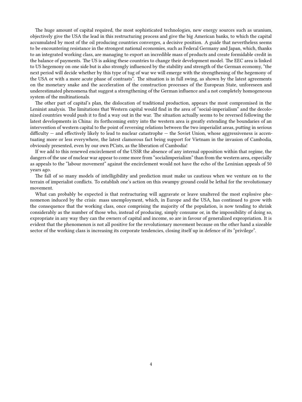The huge amount of capital required, the most sophisticated technologies, new energy sources such as uranium, objectively give the USA the lead in this restructuring process and give the big American banks, to which the capital accumulated by most of the oil producing countries converges, a decisive position. A guide that nevertheless seems to be encountering resistance in the strongest national economies, such as Federal Germany and Japan, which, thanks to an integrated working class, are managing to export an incredible mass of products and create formidable credit in the balance of payments. The US is asking these countries to change their development model. The EEC area is linked to US hegemony on one side but is also strongly influenced by the stability and strength of the German economy, "the next period will decide whether by this type of tug of war we will emerge with the strengthening of the hegemony of the USA or with a more acute phase of contrasts". The situation is in full swing, as shown by the latest agreements on the monetary snake and the acceleration of the construction processes of the European State, unforeseen and underestimated phenomena that suggest a strengthening of the German influence and a not completely homogeneous system of the multinationals.

The other part of capital's plan, the dislocation of traditional production, appears the most compromised in the Leninist analysis. The limitations that Western capital would find in the area of "social-imperialism" and the decolonized countries would push it to find a way out in the war. The situation actually seems to be reversed following the latest developments in China: its forthcoming entry into the western area is greatly extending the boundaries of an intervention of western capital to the point of reversing relations between the two imperialist areas, putting in serious difficulty — and effectively likely to lead to nuclear catastrophe — the Soviet Union, whose aggressiveness is accentuating more or less everywhere, the latest clamorous fact being support for Vietnam in the invasion of Cambodia, obviously presented, even by our own PCists, as the liberation of Cambodia!

If we add to this renewed encirclement of the USSR the absence of any internal opposition within that regime, the dangers of the use of nuclear war appear to come more from "socialimperialism" than from the western area, especially as appeals to the "labour movement" against the encirclement would not have the echo of the Leninian appeals of 50 years ago.

The fall of so many models of intelligibility and prediction must make us cautious when we venture on to the terrain of imperialist conflicts. To establish one's action on this swampy ground could be lethal for the revolutionary movement.

What can probably be expected is that restructuring will aggravate or leave unaltered the most explosive phenomenon induced by the crisis: mass unemployment, which, in Europe and the USA, has continued to grow with the consequence that the working class, once comprising the majority of the population, is now tending to shrink considerably as the number of those who, instead of producing, simply consume or, in the impossibility of doing so, expropriate in any way they can the owners of capital and income, so are in favour of generalized expropriation. It is evident that the phenomenon is not all positive for the revolutionary movement because on the other hand a sizeable sector of the working class is increasing its corporate tendencies, closing itself up in defence of its "privilege".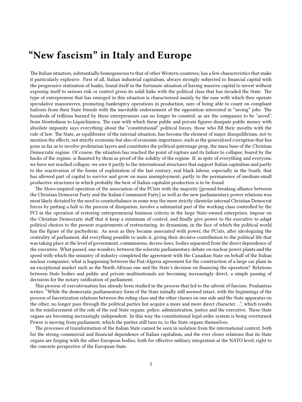# <span id="page-4-0"></span>**"New fascism" in Italy and Europe**

The Italian situation, substantially homogeneous to that of other Western countries, has a few characteristics that make it particularly explosive. First of all, Italian industrial capitalism, always strongly subjected to financial capital with the progressive statisation of banks, found itself in the fortunate situation of having massive capital to invest without exposing itself to serious risk or control given its solid links with the political class that has invaded the State. The type of entrepreneur that has emerged in this situation is characterized mainly by the ease with which they operate speculative manoeuvres, promoting bankruptcy operations in production, sure of being able to count on compliant bailouts from their State friends with the inevitable endorsement of the opposition interested in "saving" jobs. The hundreds of trillions burned by these entrepreneurs can no longer be counted, as are the companies to be "saved", from Montedison to Liquichimica. The ease with which these public and private figures dissipate public money with absolute impunity says everything about the "constitutional" political forces, those who fill their mouths with the rule of law. The State, as equilibrator of the internal situation, has become the element of major disequilibrium, not to mention the effects, not strictly economic but also of economic importance, such as the generalized corruption that has gone as far as to involve proletarian layers and constitutes the political-patronage prop, the mass base of the Christian Democratic regime. Of course, the situation has reached the point of rupture and its failure to collapse, feared by the hacks of the regime, is flaunted by them as proof of the solidity of the regime. If, in spite of everything and everyone, we have not reached collapse, we owe it partly to the international structures that support Italian capitalism and partly to the reactivation of the forms of exploitation of the last century, real black labour, especially in the South, that has allowed part of capital to survive and grow on mass unemployment, partly to the permanence of medium-small productive structures in which probably the best of Italian capitalist production is to be found.

The Moro-inspired operation of the association of the PCists with the majority [ground-breaking alliance between the Christian Democrat Party and the Italian Communist Party] as well as the new parliamentary power relations was most likely dictated by the need to counterbalance in some way the more strictly clientelar internal Christian Democrat forces by putting a halt to the process of dissipation, involve a substantial part of the working class controlled by the PCI in the operation of restoring entrepreneurial business criteria in the large State-owned enterprises, impose on the Christian Democratic staff that it keep a minimum of control, and finally give power to the executive to adapt political choices to the present requirements of restructuring, its dynamism, in the face of which the political world has the figure of the pachyderm. As soon as they became associated with power, the PCists, after ideologizing the centrality of parliament, did everything possible to undo it, giving their decisive contribution to the political life that was taking place at the level of government, commissions, decree-laws, bodies separated from the direct dependence of the executive. What passed, one wonders, between the sclerotic parliamentary debate on nuclear power plants and the speed with which the ministry of industry completed the agreement with the Canadian State on behalf of the Italian nuclear companies; what is happening between the Fiat-Algeria agreement for the construction of a large car plant in an exceptional market such as the North African one and the State's decision on financing the operation? Relations between State bodies and public and private multinationals are becoming increasingly direct, a simple passing of decisions for the notary ratification of parliament.

This process of executivisation has already been studied in the process that led to the advent of fascism. Poulantzas writes: "While the democratic parliamentary form of the State initially still seemed intact, with the beginnings of the process of fascistization relations between the ruling class and the other classes on one side and the State apparatus on the other, no longer pass through the political parties but acquire a more and more direct character …", which results in the reinforcement of the role of the real State organs: police, administration, justice and the executive. These State organs are becoming increasingly independent. In this way the constitutional legal order system is being overturned. Power is moving from parliament, which the parties still turn to, to the State organs themselves.

The processes of transformation of the Italian State cannot be seen in isolation from the international context, both for the strong commercial and financial dependence of Italian capitalism, and the ever closer relations that its State organs are forging with the other European bodies, both for effective military integration at the NATO level, right to the concrete perspective of the European State.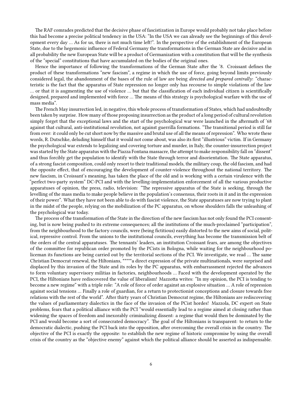The RAF comrades predicted that the decisive phase of fascistization in Europe would probably not take place before this had become a precise political tendency in the USA: "In the USA we can already see the beginnings of this development every day … As for us, there is not much time left!". In the perspective of the establishment of the European State, due to the hegemonic influence of Federal Germany the transformations in the German State are decisive and in all probability the new European State will be a product of Germanization with a constitution that will be the synthesis of the "special" constitutions that have accumulated on the bodies of the original ones.

Hence the importance of following the transformations of the German State after the '8. Croissant defines the product of these transformations "new fascism", a regime in which the use of force, going beyond limits previously considered legal, the abandonment of the bases of the rule of law are being *directed and prepared centrally*: "characteristic is the fact that the apparatus of State repression no longer only has recourse to simple violations of the law … or that it is augmenting the use of violence … but that the classification of each individual citizen is scientifically designed, prepared and implemented with force … The means of this strategy is psychological warfare with the use of mass media".

The French May insurrection led, in negative, this whole process of transformation of States, which had undoubtedly been taken by surprise. How many of those proposing insurrection as the product of a long period of cultural revolution simply forget that the exceptional laws and the start of the psychological war were launched in the aftermath of '68 against that cultural, anti-institutional revolution, not against guerrilla formations. "The transitional period is still far from over: it could only be cut short now by the massive and brutal use of all the means of repression". Who wrote these words, R. Dutschke, deluding himself that it would not come about, was also its first "illustrious" victim. If in Germany the psychological war extends to legalizing and covering torture and murder, in Italy, the counter-insurrection project was started by the State apparatus with the Piazza Fontana massacre, the attempt to make responsibility fall on "dissent" and thus forcibly get the population to identify with the State through terror and disorientation. The State apparatus, of a strong fascist composition, could only resort to their traditional models, the military coup, the old fascism, and had the opposite effect, that of encouraging the development of counter-violence throughout the national territory. The new fascism, in Croissant's meaning, has taken the place of the old and is working with a certain virulence with the "perfect two-party system" DC-PCI and with the levelling-implementation enforcement of all the various productive apparatuses of opinion, the press, radio, television: "The repressive apparatus of the State is seeking, through the levelling of the mass media to make people believe in the population's consensus, their roots in it and in the expression of their power". What they have not been able to do with fascist violence, the State apparatuses are now trying to plant in the midst of the people, relying on the mobilization of the PC apparatus, on whose shoulders falls the unleashing of the psychological war today.

The process of the transformation of the State in the direction of the new fascism has not only found the PCI consenting, but is now being pushed to its extreme consequences; all the institutions of the much-proclaimed "participation", from the neighbourhood to the factory councils, were (being fictitious) easily distorted to the new aims of social, political, repressive control. From the unions to the institutional councils, everything has become the transmission belt of the orders of the central apparatuses. The tennants' leaders, an institution Croissant fears, are among the objectives of the committee for republican order promoted by the PCists in Bologna, while waiting for the neighbourhood policeman its functions are being carried out by the territorial sections of the PCI. We investigate, we read … The same Christian Democrat renewal, the Hiltonians, \*\*\*\*\*a direct expression of the private multinationals, were surprised and displaced by this invasion of the State and its roles by the PC apparatus, with embarrassment rejected the advances to form voluntary supervisory militias in factories, neighbourhoods … Faced with the development operated by the PCI, the Hiltonians have rediscovered the value of liberalism! Mazzotta writes: "In my opinion, the PCI is tending to become a new regime" with a triple role: "A role of force of order against an explosive situation … A role of repression against social tensions … Finally a role of guardian, for a return to protectionist conceptions and closure towards free relations with the rest of the world". After thirty years of Christian Democrat regime, the Hiltonians are rediscovering the values of parliamentary dialectics in the face of the invasion of the PCist hordes! Mazzola, DC expert on State problems, fears that a political alliance with the PCI "would essentially lead to a regime aimed at closing rather than widening the spaces of freedom and inexorably criminalizing dissent: a regime that would then be dominated by the PCI and would become a sort of consecrated democracy". The goal of the Hiltonians is transparent: to return to the democratic dialectic, pushing the PCI back into the opposition, after overcoming the overall crisis in the country. The objective of the PCI is exactly the opposite: to establish the new regime of historic compromise by using the overall crisis of the country as the "objective enemy" against which the political alliance should be asserted as indispensable.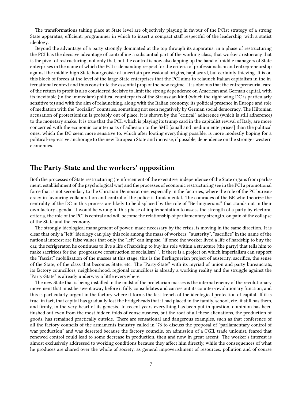The transformations taking place at State level are objectively playing in favour of the PCist strategy of a strong State apparatus, efficient, programmer in which to insert a compact staff respectful of the leadership, with a statist ideology.

Beyond the advantage of a party strongly dominated at the top through its apparatus, in a phase of restructuring the PCI has the decisive advantage of controlling a substantial part of the working class, that worker aristocracy that is the pivot of restructuring; not only that, but the control is now also lapping up the band of middle managers of State enterprises in the name of which the PCI is demanding respect for the criteria of professionalism and entrepreneurship against the middle-high State bourgeoisie of uncertain professional origins, haphazard, but certainly thieving. It is on this block of forces at the level of the large State enterprises that the PCI aims to relaunch Italian capitalism in the international context and thus constitute the essential prop of the new regime. It is obvious that the entrepreneurial card of the return to profit is also considered decisive to limit the strong dependence on American and German capital, with its inevitable (in the immediate) political counterparts of the Straussian kind (which the right-wing DC is particularly sensitive to) and with the aim of relaunching, along with the Italian economy, its political presence in Europe and role of mediation with the "socialist" countries, something not seen negatively by German social democracy. The Hiltonian accusation of protectionism is probably out of place, it is shown by the "critical" adherence (which is still adherence) to the monetary snake. It is true that the PCI, which is playing its trump card in the capitalist revival of Italy, are more concerned with the economic counterparts of adhesion to the SME [small and medium enterprises] than the political ones, which the DC seem more sensitive to, which after looting everything possible, is more modestly hoping for a political-repressive anchorage to the new European State and increase, if possible, dependence on the stronger western economies.

## <span id="page-6-0"></span>**The Party-State and the workers' opposition**

Both the processes of State restructuring (reinforcement of the executive, independence of the State organs from parliament, establishment of the psychological war) and the processes of economic restructuring see in the PCI a promotional force that is not secondary to the Christian Democrat one, especially in the factories, where the role of the PC bureaucracy in favouring collaboration and control of the police is fundamental. The comrades of the BR who theorize the centrality of the DC in this process are likely to be displaced by the role of "Berlinguerians" that stands out in their own factory agenda. It would be wrong in this phase of implementation to assess the strength of a party by electoral criteria, the role of the PCI is central and will become the relationship of parliamentary strength, on pain of the collapse of the State and the economy.

The strongly ideological management of power, made necessary by the crisis, is moving in the same direction. It is clear that only a "left" ideology can play this role among the mass of workers: "austerity", "sacrifice" in the name of the national interest are false values that only the "left" can impose, "if once the worker lived a life of hardship to buy the car, the refrigerator, he continues to live a life of hardship to buy his role within a structure (the party) that tells him to make sacrifices for the 'progressive construction of socialism' ". If there is a project on which imperialism can support the "fascist" mobilization of the masses at this stage, this is the Berlinguerian project of austerity, sacrifice, the sense of the State, of the class that becomes State, etc. The "Party-State" with its myriad of union and party bureaucrats, its factory councillors, neighbourhood, regional councillors is already a working reality and the struggle against the "Party-State" is already underway a little everywhere.

The new State that is being installed in the midst of the proletarian masses is the internal enemy of the revolutionary movement that must be swept away before it fully consolidates and carries out its counter-revolutionary function, and this is particularly urgent in the factory where it forms the last trench of the ideological protection of capital. If it is true, in fact, that capital has gradually lost the bridgeheads that it had placed in the family, school, etc. it still has them, and firmly, in the very heart of its genesis. In recent years everything has been put in question, dominion has been flushed out even from the most hidden folds of consciousness, but the root of all these alienations, the production of goods, has remained practically outside. There are sensational and dangerous examples, such as that conference of all the factory councils of the armaments industry called in '76 to discuss the proposal of "parliamentary control of war production" and was deserted because the factory councils, on admission of a CGIL trade unionist, feared that renewed control could lead to some decrease in production, then and now in great ascent. The worker's interest is almost exclusively addressed to working conditions because they affect him directly, while the consequences of what he produces are shared over the whole of society, as general impoverishment of resources, pollution and of course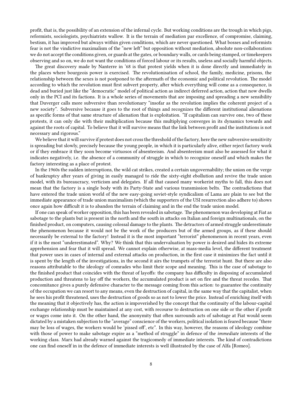profit, that is, the possibility of an extension of the infernal cycle. But working conditions are the trough in which pigs, reformists, sociologists, psychiatrists wallow. It is the terrain of mediation par excellence, of compromise, claiming, bestism, it has improved but always within given conditions, which are never questioned. What bosses and reformists fear is not the vindictive maximalism of the "new left" but opposition without mediation, absolute non-collaboration: we do not accept the conditions given, or guards at the gates, or boundary walls, or cards being stamped, or timekeepers observing and so on, we do not want the conditions of forced labour or its results, useless and socially harmful objects.

The great discovery made by Nanterre in '68 is that protest yields when it is done directly and immediately in the places where bourgeois power is exercised. The revolutionisation of school, the family, medicine, prisons, the relationship between the sexes is not postponed to the aftermath of the economic and political revolution. The model according to which the revolution must first subvert property, after which everything will come as a consequence, is dead and buried just like the "democratic" model of political action as indirect deferred action, action that now dwells only in the PCI and its factions. It is a whole series of movements that are imposing and spreading a new sensibility that Duverger calls more subversive than revolutionary "insofar as the revolution implies the coherent project of a new society". Subversive because it goes to the root of things and recognizes the different institutional alienations as specific forms of that same structure of alienation that is exploitation. "If capitalism can survive one, two of these protests, it can only die with their multiplication because this multiplying converges in its dynamics towards and against the roots of capital. To believe that it will survive means that the link between profit and the institutions is not necessary and rigorous."

We believe that it will survive if protest does not cross the threshold of the factory, here the new subversive sensitivity is spreading but slowly, precisely because the young people, in which it is particularly alive, either reject factory work or if they embrace it they soon become virtuosos of absenteeism. And absenteeism must also be assessed for what it indicates negatively, i.e. the absence of a community of struggle in which to recognize oneself and which makes the factory interesting as a place of protest.

In the 1960s the sudden interruptions, the wild cat strikes, created a certain ungovernability; the union on the verge of bankruptcy after years of giving in easily managed to ride the sixty-eight ebollution and revive the trade union model, with its bureaucracy, verticism and delegates. If all that caused many workerist myths to fall, this does not mean that the factory is a single body with its Party-State and various transmission belts. The contradictions that have entered the trade union world of the new easy-going soviet-style syndicalism of Lama are plain to see but the immediate appearance of trade union maximalism (which the supporters of the USI resurrection also adhere to) shows once again how difficult it is to abandon the terrain of claiming and in the end the trade union model.

If one can speak of worker opposition, this has been revealed in sabotage. The phenomenon was developing at Fiat as sabotage to the plants but is present in the north and the south in attacks on Italian and foreign multinationals, on the finished product, on computers, causing colossal damage to the plants. The detractors of armed struggle underestimate the phenomenon because it would not be the work of the producers but of the armed groups, as if these should necessarily be external to the factory! Instead it is the most important "terrorist" phenomenon in recent years, even if it is the most "underestimated". Why? We think that this undervaluation by power is desired and hides its extreme apprehension and fear that it will spread. We cannot explain otherwise, at mass-media level, the different treatment that power uses in cases of internal and external attacks on production, in the first case it minimizes the fact until it is spent by the length of the investigations, in the second it airs the trumpets of the terrorist hunt. But there are also reasons attributable to the ideology of comrades who limit their scope and meaning. This is the case of sabotage to the finished product that coincides with the threat of layoffs: the company has difficulty in disposing of accumulated production and threatens to lay off the workers, the accumulated product is set on fire and the threat recedes. That concomitance gives a purely defensive character to the message coming from this action: to guarantee the continuity of the occupation we can resort to any means, even the destruction of capital, in the same way that the capitalist, when he sees his profit threatened, uses the destruction of goods so as not to lower the price. Instead of enriching itself with the meaning that it objectively has, the action is impoverished by the concept that the continuity of the labour-capital exchange relationship must be maintained at any cost, with recourse to destruction on one side or the other if profit or wages come into it. On the other hand, the anonymity that often surrounds acts of sabotage at Fiat would seem dictated by a mistaken subjection to the "average" conscience of the workers, political isolation is feared because "there may be loss of wages, the workers would be 'pissed of', etc". In this way, however, the reasons of ideology combine with those of power to make sabotage expire as a "method of struggle" in defence of the *immediate* interests of the working class. Marx had already warned against the tragicomedy of immediate interests. The kind of contradictions one can find oneself in in the defence of immediate interests is well illustrated by the case of Alfa [Romeo].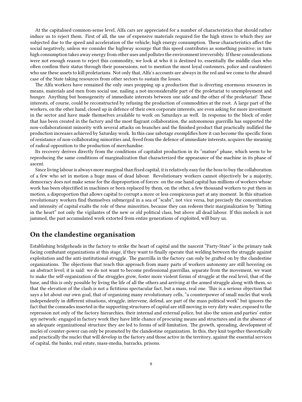At the capitalised common-sense level, Alfa cars are appreciated for a number of characteristics that should rather induce us to reject them. First of all, the use of expensive materials required for the high stress to which they are subjected due to the speed and acceleration of the vehicle; high energy consumption. These characteristics affect the social negatively, unless we consider the highway scourge that this speed contributes as something positive; in turn high consumption takes away energy from other uses and pollutes the environment irreversibly. If these considerations were not enough reason to reject this commodity, we look at who it is destined to, essentially the middle class who often confirm their status through their possessions, not to mention the most loyal customers, police and carabinieri who use these assets to kill proletarians. Not only that, Alfa's accounts are always in the red and we come to the absurd case of the State taking resources from other sectors to sustain the losses.

The Alfa workers have remained the only ones propping up a production that is diverting enormous resources in means, materials and men from social use, nailing a not-inconsiderable part of the proletariat to unemployment and hunger. Anything but homogeneity of immediate interests between one side and the other of the proletariat! These interests, of course, could be reconstructed by refusing the production of commodities at the root. A large part of the workers, on the other hand, closed up in defence of their own corporate interests, are even asking for more investment in the sector and have made themselves available to work on Saturdays as well. In response to the block of order that has been created in the factory and the most flagrant collaboration, the autonomous guerrilla has supported the non-collaborationist minority with several attacks on branches and the finished product that practically nullified the production increases achieved by Saturday work. In this case sabotage exemplifies how it can become the specific form of resistance of non-collaborating minorities and, freed from the defence of immediate interests, acquires the meaning of radical opposition to the production of merchandise.

Its recovery derives directly from the conditions of capitalist production in its "mature" phase, which seem to be reproducing the same conditions of marginalization that characterized the appearance of the machine in its phase of ascent.

Since living labour is always more marginal than fixed capital, it is relatively easy for the boss to buy the collaboration of a few who set in motion a huge mass of dead labour. Revolutionary workers cannot objectively be a majority, democracy does not make sense for the disproportion of forces: on the one hand capital has millions of workers whose work has been objectified in machines or been replaced by them, on the other, a few thousand workers to put them in motion, a disproportion that allows capital to corrupt a more or less conspicuous part at any moment. In this situation revolutionary workers find themselves submerged in a sea of "scabs", not vice versa, but precisely the concentration and intensity of capital exalts the role of these minorities, because they can redeem their marginalization by "hitting in the heart" not only the vigilantes of the new or old political class, but above all dead labour. If this moloch is not jammed, the past accumulated work extorted from entire generations of exploited, will bury us.

# <span id="page-8-0"></span>**On the clandestine organisation**

Establishing bridgeheads in the factory to strike the heart of capital and the nascent "Party-State" is the primary task facing combatant organizations at this stage, if they want to finally operate that welding between the struggle against exploitation and the anti-institutional struggle. The guerrilla in the factory can only be grafted on by the clandestine organizations. The objections that reach this approach from many parts of workers autonomy are still hovering on an abstract level; it is said: we do not want to become professional guerrillas, separate from the movement, we want to make the self-organization of the struggles grow, foster more violent forms of struggle at the real level, that of the base, and this is only possible by living the life of all the others and arriving at the armed struggle along with them, so that the elevation of the clash is not a fictitious spectacular fact, but a mass, real one. This is a serious objection that says a lot about our own goal, that of organizing many revolutionary cells, "a counterpower of small nuclei that work independently in different situations, struggle, intervene, defend, are part of the mass political work" but ignores the fact that the comrades inserted in the supporting structures of capital are still moving in very dirty water, exposed to the repression not only of the factory hierarchies, their internal and external police, but also the union and parties' entire spy network: engaged in factory work they have little chance of procuring means and structures and in the absence of an adequate organizational structure they are led to forms of self-limitation. The growth, spreading, development of nuclei of counter-power can only be promoted by the clandestine organization. In this, they knit together theoretically and practically the nuclei that will develop in the factory and those active in the territory, against the essential services of capital, the banks, real estate, mass-media, barracks, prisons.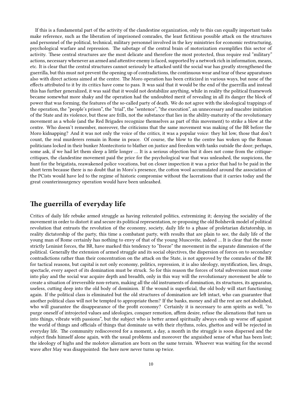If this is a fundamental part of the activity of the clandestine organization, only to this can equally important tasks make reference, such as the liberation of imprisoned comrades, the least fictitious possible attack on the structures and personnel of the political, technical, military personnel involved in the key ministries for economic restructuring, psychological warfare and repression. The sabotage of the central brain of motorization exemplifies this sector of activity. These central structures are the most delicate and therefore the most protected, thus require real "military" actions, necessary whenever an armed and attentive enemy is faced, supported by a network rich in information, means, etc. It is clear that the central structures cannot seriously be attacked until the social war has greatly strengthened the guerrilla, but this must not prevent the opening up of contradictions, the continuous wear and tear of these apparatuses also with direct actions aimed at the centre. The Moro operation has been criticized in various ways, but none of the effects attributed to it by its critics have come to pass. It was said that it would be the end of the guerrilla and instead this has further generalized, it was said that it would not destabilize anything, while in reality the political framework became somewhat more shaky and the operation had the undoubted merit of revealing in all its danger the block of power that was forming, the features of the so-called party of death. We do not agree with the ideological trappings of the operation, the "people's prison", the "trial", the "sentence", "the execution", an unnecessary and macabre imitation of the State and its violence, but these are frills, not the substance that lies in the ability-maturity of the revolutionary movement as a whole (and the Red Brigades recognize themselves as part of this movement) to strike a blow at the centre. Who doesn't remember, moreover, the criticisms that the same movement was making of the BR before the Moro kidnapping? And it was not only the voice of the critics, it was a popular voice: they hit low, those that don't count, the real murderers remain in Rome in peace. Of course, the blow to the centre has woken up the Roman politicians locked in their bunker Montecitorio to blather on justice and freedom with tanks outside the door; perhaps, some ask, if we had let them sleep a little longer … It is a serious objection but it does not come from the critiquecritiques, the clandestine movement paid the price for the psychological war that was unleashed, the suspicions, the hunt for the brigatista, reawakened police vocations, but on closer inspection it was a price that had to be paid in the short term because there is no doubt that in Moro's presence, the cotton wool accumulated around the association of the PCists would have led to the regime of historic compromise without the lacerations that it carries today and the great counterinsurgency operation would have been unleashed.

#### <span id="page-9-0"></span>**The guerrilla of everyday life**

Critics of daily life rebuke armed struggle as having reiterated politics, extremizing it; denying the sociality of the movement in order to distort it and secure its political representation, re-proposing the old Bolshevik model of political revolution that entrusts the revolution of the economy, society, daily life to a phase of proletarian dictatorship, in reality dictatorship of the party, this time a combatant party, with results that are plain to see, the daily life of the young man of Rome certainly has nothing to envy of that of the young Muscovite, indeed … It is clear that the more strictly Leninist forces, the BR, have marked this tendency to "freeze" the movement in the separate dimension of the political. Generally the extension of armed struggle and its social objectives, the dispersion of forces on to secondary contradictions rather than their concentration on the attack on the State, is not approved by the comrades of the BR for tactical reasons, but capital is not only economy, politics, repression, it is also ideology, mystification, lies, drugs, spectacle, every aspect of its domination must be struck. So for this reason the forces of total subversion must come into play and the social war acquire depth and breadth, only in this way will the revolutionary movement be able to create a situation of irreversible non-return, making all the old instruments of domination, its structures, its apparatus, useless, cutting deep into the old body of dominion. If the wound is superficial, the old body will start functioning again. If the political class is eliminated but the old structures of domination are left intact, who can guarantee that another political class will not be tempted to appropriate them? If the banks, money and all the rest are not abolished, who will guarantee the disappearance of the profit economy? Certainly it is necessary to arm spirits as well, "to purge oneself of introjected values and ideologies, conquer remotion, affirm desire, refuse the alienations that turn us into things, vibrate with passions", but the subject who is better armed spiritually always ends up worse off against the world of things and officials of things that dominate us with their rhythms, roles, ghettos and will be rejected in everyday life. The community rediscovered for a moment, a day, a month in the struggle is soon dispersed and the subject finds himself alone again, with the usual problems and moreover the anguished sense of what has been lost; the ideology of highs and the molotov alienation are born on the same terrain. Whoever was waiting for the second wave after May was disappointed: the here now never turns up twice.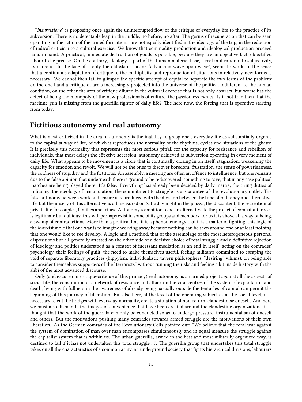"*Insurrezione*" is proposing once again the uninterrupted flow of the critique of everyday life to the practice of its subversion. There is no detectable leap in the middle, no before, no after. The germs of recuperation that can be seen operating in the action of the armed formations, are not equally identified in the ideology of the trip, in the reduction of radical criticism to a cultural exercise. We know that commodity production and ideological production proceed hand in hand. A practical, immediate destruction of goods is possible, because they are an objective fact, objectified labour to be precise. On the contrary, ideology is part of the human material base, a real infiltration into subjectivity, its narcotic. In the face of it only the old Maoist adage "advancing wave upon wave", seems to work, in the sense that a continuous adaptation of critique to the multiplicity and reproduction of situations in relatively new forms is necessary. We cannot then fail to glimpse the specific attempt of capital to separate the two terms of the problem: on the one hand a critique of arms increasingly projected into the universe of the political indifferent to the human condition, on the other the arm of critique diluted in the cultural exercise that is not only abstract, but worse has the defect of being the monopoly of the new professionals of culture, the passionless cynics. Is it not true then that the machine gun is missing from the guerrilla fighter of daily life? The here now, the forcing that is operative starting from today.

# <span id="page-10-0"></span>**Fictitious autonomy and real autonomy**

What is most criticized in the area of autonomy is the inability to grasp one's everyday life as substantially organic to the capitalist way of life, of which it reproduces the normality of the rhythms, cycles and situations of the ghetto. It is precisely this normality that represents the most serious pitfall for the capacity for resistance and rebellion of individuals, that most delays the effective secession, autonomy achieved as subversion operating in every moment of daily life. What appears to be movement is a circle that is continually closing in on itself, stagnation, weakening the capacity for emotion and revolt. We will not be the ones to discover boredom, frustration, the sense of powerlessness, the coldness of stupidity and the fictitious. An assembly, a meeting are often an offence to intelligence, but one remains due to the false opinion that underneath there is ground to be rediscovered, something to save, that in any case political matches are being played there. It's false. Everything has already been decided by daily inertia, the tiring duties of militancy, the ideology of accumulation, the commitment to struggle as a guarantee of the revolutionary outlet. The false antinomy between work and leisure is reproduced with the division between the time of militancy and alternative life, but the misery of this alternative is all measured on Saturday night in the piazza, the discontent, the recreation of private life for couples, families and tribes. Autonomy's ambition to be an alternative to the project of combatant forces is legitimate but dubious: this will perhaps exist in some of its groups and members, for us it is above all a way of being, a swamp of contradictions. More than a political line, it is a phenomenology that it is a matter of fighting, this logic of the Marxist mole that one wants to imagine working away because nothing can be seen around one or at least nothing that one would like to see develop. A logic and a method, that of the assemblage of the most heterogeneous personal dispositions but all generally attested on the other side of a decisive choice of total struggle and a definitive rejection of ideology and politics understood as a context of incessant mediation as an end in itself: acting on the comrades' psychology, their feelings of guilt, the need to make themselves useful, feeling militants committed to escaping the void of separate liberatory practices (hippyism, individualistic tavern philosophers, "desiring" whims), on being able to consider themselves supporters of the "terrorists" without running the risks and feeling a bit inside history with the alibi of the most advanced discourse.

Only (and excuse our critique-critique of this primacy) real autonomy as an armed project against all the aspects of social life, the constitution of a network of resistance and attack on the vital centres of the system of exploitation and death, living with fullness in the awareness of already being partially outside the tentacles of capital can permit the beginning of this journey of liberation. But also here, at the level of the operating subject as at the social level, it is necessary to cut the bridges with everyday normality, create a situation of non-return, clandestinise oneself. And here we must also dismantle the images of convenience that have been created around the clandestine organizations, it is thought that the work of the guerrilla can only be conducted so as to undergo pressure, instrumentalism of oneself and others. But the motivations pushing many comrades towards armed struggle are the motivations of their own liberation. As the German comrades of the Revolutionary Cells pointed out: "We believe that the total war against the system of domination of man over man encompasses simultaneously and in equal measure the struggle against the capitalist system that is within us. The urban guerrilla, armed in the best and most militarily organized way, is destined to fail if it has not undertaken this total struggle …". The guerrilla group that undertakes this total struggle takes on all the characteristics of a common army, an underground society that fights hierarchical divisions, labourers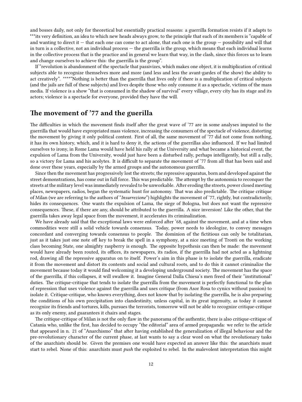and bosses daily, not only for theoretical but essentially practical reasons: a guerrilla formation resists if it adapts to \*\*\*its very definition, an idea to which new heads always grow, to the principle that each of its members is "capable of and wanting to direct it  $-$  that each one can come to act alone, that each one is the group  $-$  possibility and will that in turn is a collective, not an individual process — the guerrilla is the group, which means that each individual learns in the collective process that is the practice and in general we learn that way, in the clash, since this forces us to learn and change ourselves to achieve this: the guerrilla is the group".

If "revolution is abandonment of the spectacle that passivizes, which makes one object, it is multiplication of critical subjects able to recognize themselves more and more (and less and less the avant-gardes of the show) the ability to act creatively". \*\*\*\*"Nothing is better than the guerrilla that lives only if there is a multiplication of critical subjects (and the jails are full of these subjects) and lives despite those who only consume it as a spectacle, victims of the mass media. If violence is a show "that is consumed in the shadow of survival" every village, every city has its stage and its actors; violence is a spectacle for everyone, provided they have the will.

## <span id="page-11-0"></span>**The movement of '77 and the guerilla**

The difficulties in which the movement finds itself after the great wave of '77 are in some analyses imputed to the guerrilla that would have expropriated mass violence, increasing the consumers of the spectacle of violence, distorting the movement by giving it only political content. First of all, the same movement of '77 did not come from nothing, it has its own history, which, and it is hard to deny it, the actions of the guerrillas also influenced. If we had limited ourselves to irony, in Rome Lama would have held his rally at the University and what became a historical event, the expulsion of Lama from the University, would just have been a disturbed rally, perhaps intelligently, but still a rally, so a victory for Lama and his acolytes. It is difficult to separate the movement of '77 from all that has been said and done over these years, especially by the armed groups and the autonomous guerrilla.

Since then the movement has progressively lost the streets; the repressive apparatus, born and developed against the street demonstrations, has come out in full force. This was predictable. The attempt by the autonomia to reconquer the streets at the military level was immediately revealed to be unworkable. After eroding the streets, power closed meeting places, newspapers, radios, began the systematic hunt for autonomy. That was also predictable. The critique critique of Milan (we are referring to the authors of "*Insurrezione*") highlights the movement of '77, rightly, but contradictorily, hides its consequences. One wants the expulsion of Lama, the siege of Bologna, but does not want the repressive consequences. These, if there are any, should be attributed to the guerrilla. A nice inversion! Like the other, that the guerrilla takes away legal space from the movement, it accelerates its criminalization.

We have already said that the exceptional laws were enforced after '68, against the movement, and at a time when commodities were still a solid vehicle towards consensus. Today, power needs to ideologize, to convey messages concordant and converging towards consensus to people. The dominion of the fictitious can only be totalitarian, just as it takes just one note off key to break the spell in a symphony, at a nice meeting of Tronti on the working class becoming State, one almighty raspberry is enough. The opposite hypothesis can then be made: the movement would have already been routed, its offices, its newspapers, its radios, if the guerrilla had not acted as a lightning rod, drawing all the repressive apparatus on to itself. Power's aim in this phase is to isolate the guerrilla, eradicate it from the movement and distort its contents and social and cultural roots, and to do this it cannot criminalize the movement because today it would find welcoming it a developing underground society. The movement has the space of the guerrilla, if this collapses, it will swallow it. Imagine General Dalla Chiesa's men freed of their "institutional" duties. The critique-critique that tends to isolate the guerrilla from the movement is perfectly functional to the plan of repression that uses violence against the guerrilla and uses critique (from Asor Rosa to cynics without passion) to isolate it. Critique-critique, who knows everything, does not know that by isolating the guerrilla, he is also preparing the conditions of his own precipitation into clandestinity, unless capital, in its great ingenuity, as today it cannot recognize its friends and tortures, kills, pursues the terrorists, tomorrow will not be able to recognize critique-critique as its only enemy, and guarantees it chairs and stages.

The critique-critique of Milan is not the only flaw in the panorama of the authentic, there is also critique-critique of Catania who, unlike the first, has decided to occupy "the editorial" area of armed propaganda: we refer to the article that appeared in n. 21 of "Anarchismo" that after having established the generalization of illegal behaviour and the pre-revolutionary character of the current phase, at last wants to say a clear word on what the revolutionary tasks of the anarchists should be. Given the premises one would have expected an answer like this: the anarchists must start to rebel. None of this: anarchists must *push* the exploited to rebel. In the malevolent interpretation this might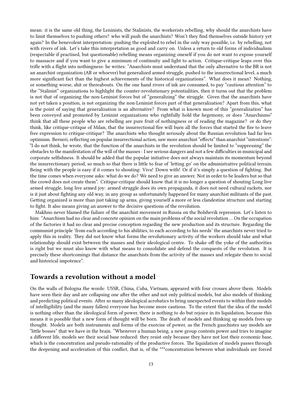mean: it is the same old thing, the Leninists, the Stalinists, the workerists rebelling, why should the anarchists have to limit themselves to pushing others? who will push the anarchists? Won't they find themselves outside history yet again? In the benevolent interpretation: pushing the exploited to rebel in the only way possible, i.e. by rebelling, not with rivers of ink. Let's take this interpretation as good and carry on. Unless a return to old forms of individualism (respectable if practised, but questionable) rebelling means organizing oneself if you do not want to expose yourself to massacre and if you want to give a minimum of continuity and light to action. Critique-critique leaps over this trifle with a flight into nothingness: he writes: "Anarchists must understand that the only alternative to the BR is not an anarchist organization (AR or whoever) but generalized armed struggle, pushed to the insurrectional level, a much more significant fact than the highest achievements of the historical organizations". What does it mean? Nothing, or something worse, shit or thereabouts. On the one hand rivers of ink are consumed, to pay "cautious attention" to the "Stalinist" organizations to highlight the counter-revolutionary potentialities, then it turns out that the problem is not that of organizing the non-Leninist forces but of "generalizing" the struggle. Given that the anarchists have not yet taken a position, is not organizing the non-Leninist forces part of that generalization? Apart from this, what is the point of saying that generalization is an alternative? From what is known most of this "generalization" has been conveyed and promoted by Leninist organizations who rightfully hold the hegemony, or does "Anarchismo" think that all these people who are rebelling are pure fruit of nothingness or of reading the magazine? or do they think, like critique-critique of Milan, that the insurrectional fire will burn all the forces that started the fire to leave free expression to critique-critique? The anarchists who thought seriously about the Russian revolution had far less optimism. Berneri, reflecting on popular insurrectional action, saw more anarchist "effects" than anarchist "intentions": "I do not think, he wrote, that the function of the anarchists in the revolution should be limited to "suppressing" the obstacles to the manifestation of the will of the masses : I see serious dangers and not a few difficulties in municipal and corporate selfishness. It should be added that the popular initiative does not always maintain its momentum beyond the insurrectionary period, so much so that there is little to fear of 'letting go' on the administrative political terrain. Being with the people is easy if it comes to shouting: Viva! Down with! Or if it's simply a question of fighting. But the time comes when everyone asks: what do we do? We need to give an answer. Not in order to be leaders but so that the crowd does not create them". Critique-critique should know that it is no longer a question of shouting Long live armed struggle, long live armed joy: armed struggle does its own propaganda, it does not need cultural rackets, nor is it just about fighting any old way, in any group as unfortunately happened for many anarchist militants of the past. Getting organized is more than just taking up arms, giving yourself a more or less clandestine structure and starting to fight. It also means giving an answer to the decisive questions of the revolution.

Makhno never blamed the failure of the anarchist movement in Russia on the Bolshevik repression. Let's listen to him: "Anarchism had no clear and concrete opinion on the main problems of the social revolution … On the occupation of the factories it had no clear and precise conception regarding the new production and its structure. Regarding the communist principle 'from each according to his abilities, to each according to his needs' the anarchists never tried to apply this in reality. They did not know what forms the revolutionary activity of the workers should take and what relationship should exist between the masses and their ideological centre. To shake off the yoke of the authorities is right but we must also know with what means to consolidate and defend the conquests of the revolution. It is precisely these shortcomings that distance the anarchists from the activity of the masses and relegate them to social and historical impotence".

#### <span id="page-12-0"></span>**Towards a revolution without a model**

On the walls of Bologna the words: USSR, China, Cuba, Vietnam, appeared with four crosses above them. Models have seen their day and are collapsing one after the other and not only political models, but also models of thinking and predicting political events. After so many ideological acrobatics to bring unexpected events to within their models of intelligibility (and the many fallen) everyone has become more cautious. To the extent that the idea of the model is nothing other than the ideological form of power, there is nothing to do but rejoice in its liquidation, because this means it is possible that a new form of thought will be born. The death of models and thinking up models frees up thought. Models are both instruments and forms of the exercise of power, as the French gauchistes say models are "little bosses" that we have in the brain. "Whenever a human being, a new group contests power and tries to imagine a different life, models see their social base reduced: they resist only because they have not lost their economic base, which is the concentration and pseudo-rationality of the productive forces. The liquidation of models passes through the deepening and acceleration of this conflict, that is, of the \*\*\*concentration between what individuals are forced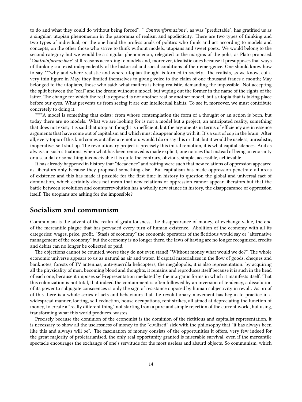to do and what they could do without being forced". " *Controinformazione*", as was "predictable", has gratified us as a singular, utopian phenomenon in the panorama of realism and apodicticity. There are two types of thinking and two types of individual, on the one hand the professionals of politics who think and act according to models and concepts, on the other those who strive to think without models, utopians and sweet poets. We would belong to the second category but we would be a singular phenomenon, relegated to the margins of the polis, as Plato proposed. "*Controinformazione*" still reasons according to models and, moreover, idealistic ones because it presupposes that ways of thinking can exist independently of the historical and social conditions of their emergence. One should know how to say \*\*\*why and where realistic and where utopian thought is formed in society. The realists, as we know, cut a very thin figure in May, they limited themselves to giving voice to the claim of one thousand francs a month; May belonged to the utopians, those who said: what matters is being realistic, demanding the impossible. Not accepting the split between the "real" and the dream without a model, but wiping out the former in the name of the rights of the latter. The change for which the real is opposed is not another real or another model, but a utopia that is taking place before our eyes. What prevents us from seeing it are our intellectual habits. To see it, moreover, we must contribute concretely to doing it.

\*\*\*\*A model is something that exists: from whose contemplation the form of a thought or an action is born, but today there are no models. What we are looking for is not a model but a project, an anticipated reality, something that does not exist; it is said that utopian thought is inefficient, but the arguments in terms of efficiency are in essence arguments that have come out of capitalism and which must disappear along with it. It's a sort of cop in the brain. After all, every topic of this kind comes out after a remotion: would I do or say this or that, but it would be useless, unrealistic, inoperative, so I shut up. The revolutionary project is precisely this initial remotion, it is what capital silences. And as always in such situations, when what has been removed is made explicit, one notices that instead of being an enormity or a scandal or something inconceivable it is quite the contrary, obvious, simple, accessible, achievable.

It has already happened in history that "decadence" and rotting were such that new relations of oppression appeared as liberators only because they proposed something else. But capitalism has made oppression penetrate all areas of existence and this has made it possible for the first time in history to question the global and universal fact of domination, which certainly does not mean that new relations of oppression cannot appear liberators but that the battle between revolution and counterrevolution has a wholly new stance in history, the disappearance of oppression itself. The utopians are asking for the impossible?

#### <span id="page-13-0"></span>**Socialism and communism**

Communism is the advent of the realm of gratuitousness, the disappearance of money, of exchange value, the end of the mercantile plague that has pervaded every turn of human existence. Abolition of the economy with all its categories: wages, price, profit. "Stasis of economy" the economic operators of the fictitious would say or "alternative management of the economy" but the economy is no longer there, the laws of having are no longer recognized, credits and debits can no longer be collected or paid.

The objections cannot be counted, worse they do not even stand! "Without money what would we do?". The whole economic universe appears to us as natural as air and water. If capital materializes in the flow of goods, cheques and banknotes, forests of TV antennas, anti-guerrilla helicopters, the megalopolis, it is also representation: by acquiring all the physicality of men, becoming blood and thoughts, it remains and reproduces itself because it is such in the head of each one, because it imposes self-representation mediated by the inorganic forms in which it manifests itself. That this colonization is not total, that indeed the containment is often followed by an inversion of tendency, a dissolution of its power to subjugate consciences is only the sign of resistance opposed by human subjectivity in revolt. As proof of this there is a whole series of acts and behaviours that the revolutionary movement has begun to practice in a widespread manner, looting, self-reduction, house occupations, rent strikes, all aimed at depreciating the function of money, to create a "really different thing" not starting from a pure and simple rejection of the current world, but using, transforming what this world produces, wastes.

Precisely because the dominion of the economist is the dominion of the fictitious and capitalist representation, it is necessary to show all the uselessness of money to the "civilized" sick with the philosophy that "it has always been like this and always will be". The fascination of money consists of the opportunities it offers, very few indeed for the great majority of proletarianised, the only real opportunity granted is miserable survival, even if the mercantile spectacle encourages the exchange of one's servitude for the most useless and absurd objects. So communism, which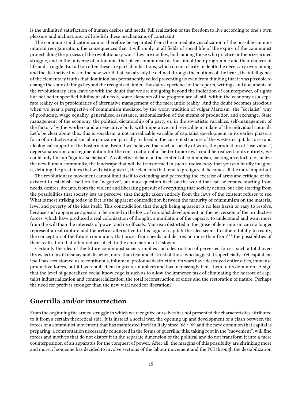is the unlimited satisfaction of human desires and needs, full realization of the freedom to live according to one's own pleasure and inclinations, will abolish these mechanisms of constraint.

The communist indication cannot therefore be separated from the immediate visualization of the possible communitarian reorganization, the consequences that it will imply in all fields of social life of the expiry of the communist project along the process of the revolutionary war. They are not few, both among those who practice or theorize armed struggle, and in the universe of autonomia that place communism as the aim of their programme and their choices of life and struggle. But all too often these are partial indications, which do not clarify in depth the necessary overcoming and the distinctive lines of the new world that can already be defined through the motions of the heart, the intelligence of the elementary truths that dominion has permanently veiled preventing us even from thinking that it was possible to change the state of things beyond the recognized limits. The daily experience of the reports, writings and documents of the revolutionary area leave us with the doubt that we are not going beyond the indication of counterpower, of rights but not better specified fulfilment of needs, some elements of the program are all still within the economy as a separate reality or in problematics of alternative management of the mercantile reality. And the doubt becomes atrocious when we hear a perspective of communism mediated by the worst tradition of vulgar Marxism: the "socialist" way of producing, wage equality, generalized assistance, nationalization of the means of production and exchange, State management of the economy, the political dictatorship of a party or, in the sovietistic variables, self-management of the factory by the workers and an executive body with imperative and revocable mandate of the individual councils. Let's be clear about this, this is socialism, a not unrealizable variable of capitalist development in its earlier phase, a form of productive and social organization partially realized in the current structure of the western capitalist area and ideological support of the Eastern one. Even if we believed that such a society of work, the production of "use values", depersonalization and regimentation for the construction of a "better tomorrow" could be realized in its entirety, we could only line up "against socialism". A collective debate on the content of communism, making an effort to visualize the new human community, the landscape that will be transformed in such a radical way that you can hardly imagine it, defining the great lines that will distinguish it, the elements that tend to prefigure it, becomes all the more important.

The revolutionary movement cannot limit itself to extending and perfecting the exercise of arms and critique of the existent to establish itself on the "negative", but must question itself on the world that can be created starting from needs, desires, dreams, from the violent and liberating pursuit of everything that society denies, but also starting from the possibilities that society lets us perceive, that thought taken entirely from the laws of the existent refuses to see. What is most striking today in fact is the apparent contradiction between the maturity of communism on the material level and poverty of the idea itself. This contradiction that though being apparent is no less harsh or easy to resolve, because such apparence appears to be rooted in the logic of capitalist development, in the perversion of the productive forces, which have produced a real colonization of thought, a mutilation of the capacity to understand and want more from the will than the interests of power and its officials. Marxism distorted in the guise of determinism can no longer represent a real rupture and theoretical alternative to this logic of capital: the idea seems to adhere totally to reality, the conception of the future community that arises from needs and desires no more than from\*\*\* the possibilities of their realization that often reduces itself to the enunciation of a slogan.

Certainly the idea of the future communist society implies such destruction of perverted forces, such a total overthrow as to instill dismay and disbelief, more than fear and distrust of those who suggest it superficially. Yet capitalism itself has accustomed us to continuous, inhuman, profound destruction: its wars have destroyed entire cities, immense productive forces, but it has rebuilt them in greater numbers and has increasingly bent them to its dominion. A sign that the level of generalized social knowledge is such as to allow the immense task of eliminating the horrors of capitalist industrialization and commercialization, the total reconstruction of cities and the restoration of nature. Perhaps the need for profit is stronger than the new vital need for liberation?

### <span id="page-14-0"></span>**Guerrilla and/or insurrection**

From the beginning the armed struggle in which we recognize ourselves has not presented the characteristics attributed to it from a certain theoretical side. It is instead a social war, the opening up and development of a clash between the forces of a communist movement that has manifested itself in Italy since '68 / '69 and the new dominion that capital is preparing, a confrontation necessarily conducted in the forms of guerrilla; this, taking root in the "movement", will find forces and motives that do not distort it in the separate dimension of the political and do not transform it into a mere counterposition of an apparatus for the conquest of power. After all, the margins of this possibility are shrinking more and more; if someone has decided to involve sections of the labour movement and the PCI through the destabilization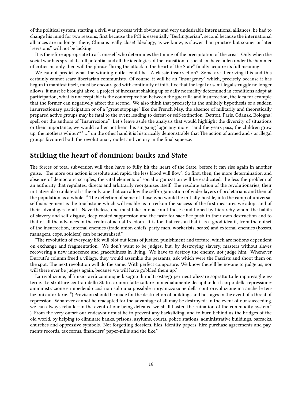of the political system, starting a civil war process with obvious and very undesirable international alliances, he had to change his mind for two reasons, first because the PCI is essentially "Berlinguerian", second because the international alliances are no longer there, China is really close! Ideology, as we know, is slower than practice but sooner or later "revisions" will not be lacking.

It is therefore appropriate to ask oneself who determines the timing of the precipitation of the crisis. Only when the social war has spread its full potential and all the ideologies of the transition to socialism have fallen under the hammer of criticism, only then will the phrase "bring the attack to the heart of the State" finally acquire its full meaning.

We cannot predict what the winning outlet could be. A classic insurrection? Some are theorizing this and this certainly cannot scare libertarian communists. Of course, it will be an "insurgency" which, precisely because it has begun to manifest itself, must be encouraged with continuity of initiative that the legal or semi-legal struggle no longer allows, it must be brought alive, a project of incessant shaking up of daily normality determined in conditions adapt at participation, what is unacceptable is the counterposition between the guerrilla and insurrection, the idea for example that the former can negatively affect the second. We also think that precisely in the unlikely hypothesis of a sudden insurrectionary participation or of a "great stoppage" like the French May, the absence of militarily and theoretically prepared active groups may be fatal to the event leading to defeat or self-extinction. Detroit, Paris, Gdansk, Bologna! spell out the authors of "Insurrezione". Let's leave aside the analysis that would highlight the diversity of situations or their importance, we would rather not hear this singsong logic any more: "and the years pass, the children grow up, the mothers whiten\*\*\* …" on the other hand it is historically demonstrable that The action of armed and / or illegal groups favoured both the revolutionary outlet and victory in the final squeeze.

#### <span id="page-15-0"></span>**Striking the heart of dominion: banks and State**

The forces of total subversion will then have to fully hit the heart of the State, before it can rise again in another guise. "The more our action is resolute and rapid, the less blood will flow". So first, then, the more determination and absence of democratic scruples, the vital elements of social organization will be eradicated, the less the problem of an authority that regulates, directs and arbitrarily reorganizes itself. The resolute action of the revolutionaries, their initiative also unilateral is the only one that can allow the self-organization of wider layers of proletarians and then of the population as a whole. " The defection of some of those who would be initially hostile, into the camp of universal selfmanagement is the touchstone which will enable us to reckon the success of the first measures we adopt and of their advantages to all….Nevertheless, one must take into account those conditioned by hierarchy whom the habits of slavery and self-disgust, deep-rooted suppression and the taste for sacrifice push to their own destruction and to that of all the advances in the realm of actual freedom. It is for that reason that it is a good idea if, from the outset of the insurrection, internal enemies (trade union chiefs, party men, workerists, scabs) and external enemies (bosses, managers, cops, soldiers) can be neutralised."

"The revolution of everyday life will blot out ideas of justice, punishment and torture, which are notions dependent on exchange and fragmentation. We don't want to be judges, but, by destroying slavery, masters without slaves recovering a new innocence and gracefulness in living. We have to destroy the enemy, not judge him. Whenever Durruti's column freed a village, they would assemble the peasants, ask which were the Fascists and shoot them on the spot. The next revolution will do the same. With perfect composure. We know there'll be no-one to judge us, nor will there ever be judges again, because we will have gobbled them up."

La rivoluzione, all'inizio, avrà comunque bisogno di molti ostaggi per neutralizzare soprattutto le rappresaglie esterne. Le strutture centrali dello Stato saranno fatte saltare immediatamente decapitando il corpo della repressioneamministrazione e impedendo così non solo una possibile riorganizzazione della controrivoluzione ma anche le tentazioni autoritarie. ") Provision should be made for the destruction of buildings and hostages in the event of a threat of repression. Whatever cannot be readapted for the advantage of all may be destroyed: in the event of our succeeding, we can always rebuild—in the event of our being defeated we shall hasten the ruination of the commodity system.". ) From the very outset our endeavour must be to prevent any backsliding, and to burn behind us the bridges of the old world, by helping to eliminate banks, prisons, asylums, courts, police stations, administrative buildings, barracks, churches and oppressive symbols. Not forgetting dossiers, files, identity papers, hire purchase agreements and payments records, tax forms, financiers' paper-mills and the like."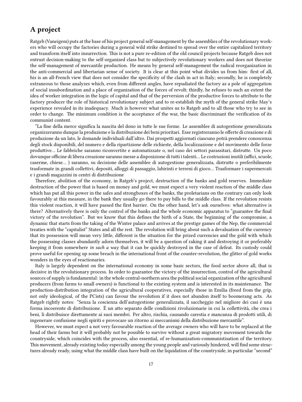# <span id="page-16-0"></span>**A project**

Ratgeb (Vaneigem) puts at the base of his project general self-management by the assemblies of the revolutionary workers who will occupy the factories during a general wild strike destined to spread over the entire capitalized territory and transform itself into insurrection. This is not a pure re-edition of the old council projects because Ratgeb does not entrust decision-making to the self-organized class but to subjectively revolutionary workers and does not theorize the self-management of mercantile production. He means by general self-management the radical reorganization in the anti-commercial and libertarian sense of society. It is clear at this point what divides us from him: first of all, his is an all-French view that does not consider the specificity of the clash in act in Italy; secondly, he is completely extraneous to those analyzes which, even from different angles, have repudiated the factory as a pole of aggregation of social insubordination and a place of organization of the forces of revolt; thirdly, he refuses to such an extent the idea of worker integration in the logic of capital and that of the perversion of the productive forces to attribute to the factory producer the role of historical revolutionary subject and to re-establish the myth of the general strike May's experience revealed in its inadequacy. Much is however what unites us to Ratgeb and to all those who try to see in order to change. The minimum condition is the acceptance of the war, the basic discriminant the verification of its communist content.

"La fine della merce significa la nascita del dono in tutte le sue forme. Le assemblee di autogestione generalizzata organizzeranno dunque la produzione e la distribuzione dei beni prioritari. Esse registreranno le offerte di creazione e di produzione da un lato, le domande individuali dall'altro. Dai prospetti aggiornati ciascuno potrà prendere conoscenza degli stock disponibili, del numero e della ripartizione delle richieste, della localizzazione e del movimento delle forze produttive… Le fabbriche saranno riconvertite e automatizzate o, nel caso dei settori parassitari, distrutte. Un poco dovunque officine di libera creazione saranno messe a disposizione di tutti i talenti… Le costruzioni inutili (uffici, scuole, caserme, chiese… ) saranno, su decisione delle assemblee di autogestione generalizzata, distrutte o preferibilmente trasformate in grandi collettivi, depositi, alloggi di passaggio, labirinti e terreni di gioco… Trasformare i supermercati e i grandi magazzini in centri di distribuzione

Therefore, abolition of the economy, in Ratgeb's project, destruction of the banks and gold reserves. Immediate destruction of the power that is based on money and gold, we must expect a very violent reaction of the middle class which has put all this power in the safes and strongboxes of the banks, the proletarians on the contrary can only look favourably at this measure, in the bank they usually go there to pay bills to the middle class. If the revolution resists this violent reaction, it will have passed the first barrier. On the other hand, let's ask ourselves: what alternative is there? Alternatively there is only the control of the banks and the whole economic apparatus to "guarantee the final victory of the revolution". But we know that this defines the birth of a State, the beginning of the compromise, a dynamic that starts from the taking of the Winter palace and arrives at the prestige games of the Nep, the commercial treaties with the "capitalist" States and all the rest. The revolution will bring about such a devaluation of the currency that its possession will mean very little, different is the situation for the prized currencies and the gold with which the possessing classes abundantly adorn themselves, it will be a question of raking it and destroying it or preferably keeping it from somewhere *in such a way* that it can be quickly destroyed in the case of defeat. Its custody could prove useful for opening up some breach in the international front of the counter-revolution, the glitter of gold works wonders in the eyes of reactionaries.

Italy is largely dependent on the international economy in some basic sectors, the food sector above all, that is decisive in the revolutionary process. In order to guarantee the victory of the insurrection, control of the agricultural sources of supply is fundamental: in the whole central-northern area the political social organization of the agricultural producers (from farms to small owners) is functional to the existing system and is interested in its maintenance. The production-distribution integration of the agricultural cooperatives, especially those in Emilia (freed from the grip, not only ideological, of the PCists) can favour the revolution if it does not abandon itself to boomerang acts. As Ratgeb rightly notes: "Senza la coscienza dell'autogestione generalizzata, il saccheggio nel migliore dei casi è una forma incoerente di distribuzione. È un atto separato delle condizioni rivoluzionarie in cui la collettività, che crea i beni, li distribuisce direttamente ai suoi membri. Per altro, rischia, causando carestia e mancanza di prodotti utili, di ingenerare confusione negli spiriti e provocare un ritorno ai meccanismi della distribuzione mercantile".

However, we must expect a not very favourable reaction of the average owners who will have to be replaced at the head of their farms but it will probably not be possible to survive without a great migratory movement towards the countryside, which coincides with the process, also essential, of re-humanization-communistisation of the territory. This movement, already existing today especially among the young people and variously hindered, will find some structures already ready, using what the middle class have built on the liquidation of the countryside, in particular "second"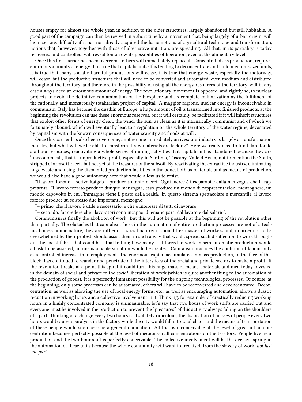houses empty for almost the whole year, in addition to the older structures, largely abandoned but still habitable. A good part of the campaign can then be revived in a short time by a movement that, being largely of urban origin, will be in serious difficulty if it has not already acquired the basic notions of agricultural technique and transformation, notions that, however, together with those of alternative nutrition, are spreading. All that, in its partiality is today recovered and controlled, will reveal tomorrow its possibilities of liberation, even at the alimentary level.

Once this first barrier has been overcome, others will immediately replace it. Concentrated ass production, requires enormous amounts of energy. It is true that capitalism itself is tending to deconcentrate and build medium-sized units, it is true that many socially harmful productions will cease, it is true that energy waste, especially the motorway, will cease, but the productive structures that will need to be converted and automated, even medium and distributed throughout the territory, and therefore in the possibility of using all the energy resources of the territory, will in any case always need an enormous amount of energy. The revolutionary movement is opposed, and rightly so, to nuclear projects to avoid the definitive contamination of the biosphere and its complete militarization as the fulfilment of the rationally and monstrously totalitarian project of capital. A maggior ragione, nuclear energy is inconceivable in communism. Italy has become the dustbin of Europe, a huge amount of oil is transformed into finished products, at the beginning the revolution can use these enormous reserves, but it will certainly be facilitated if it will inherit structures that exploit other forms of energy clean, the wind, the sun, as clean as it is intrinsically communist and of which we fortunately abound, which will eventually lead to a regulation on the whole territory of the water regime, devastated by capitalism with the known consequences of water scarcity and floods at will .

Once this barrier has also been overcome, another one immediately arrives: our industry is largely a transformation industry, but what will we be able to transform if raw materials are lacking? Here we really need to fund dare fondo a all our resources, reactivating a whole series of mining activities that capitalism has abandoned because they are "uneconomical", that is, unproductive profit, especially in Sardinia, Tuscany, Valle d'Aosta, not to mention the South, stripped of armsdi braccia but not yet of the treasures of the subsoil. By reactivating the extractive industry, eliminating huge waste and using the dismantled production facilities to the bone, both as materials and as means of production, we would also have a good autonomy here that would allow us to resist.

"Il lavoro forzato – scrive Ratgeb – produce soltanto merci. Ogni merce è inseparabile dalla menzogna che la rappresenta. Il lavoro forzato produce dunque menzogna, esso produce un mondo di rappresentazioni menzognere, un mondo capovolto in cui l'immagine tiene il posto della realtà. In questo sistema spettacolare e mercantile, il lavoro forzato produce su se stesso due importanti menzogne:

"– primo, che il lavoro è utile e necessario, e che è interesse di tutti di lavorare;

"– secondo, far credere che i lavoratori sono incapaci di emanciparsi dal lavoro e dal salario".

Communism is finally the abolition of work. But this will not be possible at the beginning of the revolution other than partially. The obstacles that capitalism faces in the automation of entire production processes are not of a technical or economic nature, they are rather of a social nature: it should free masses of workers and, in order not to be overwhelmed by their protest, should assist them in such a way that would spread such disaffection to work throughout the social fabric that could be lethal to him; how many still forced to work in semiautomatic production would all ask to be assisted, an unsustainable situation would be created. Capitalism practices the abolition of labour only as a controlled increase in unemployment. The enormous capital accumulated in mass production, in the face of this block, has continued to wander and penetrate all the interstices of the social and private sectors to make a profit. If the revolution breaks at a point this spiral it could turn this huge mass of means, materials and men today invested in the domain of social and private to the *social* liberation of work (which is quite another thing to the automation of the production of goods). It is a perfectly immanent possibility for the ongoing technological processes. Of course, at the beginning, only some processes can be automated, others will have to be reconverted and deconcentrated. Deconcentration, as well as allowing the use of local energy forms, etc., as well as encouraging automation, allows a drastic reduction in working hours and a collective involvement in it. Thinking, for example, of drastically reducing working hours in a highly concentrated company is unimaginable; let's say that two hours of work shifts are carried out and everyone must be involved in the production to prevent the "pleasures" of this activity always falling on the shoulders of a part. Thinking of a change every two hours is absolutely ridiculous, the dislocation of masses of people every two hours would cause a paralysis in the factory while the city would fall into total chaos and the means of transportation of these people would soon become a general damnation. All that is inconceivable at the level of great urban concentration becomes perfectly possible at the level of medium-small concentrations on the territory. People live near production and the two-hour shift is perfectly conceivable. The collective involvement will be the decisive spring in the automation of these units because the whole community will want to free itself from the slavery of work, *not just one part*.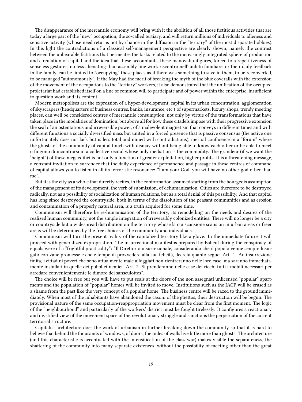The disappearance of the mercantile economy will bring with it the abolition of all those fictitious activities that are today a large part of the "new" occupation, the so-called tertiary, and will return millions of individuals to idleness and sensitive activity (whose need returns not by chance in the diffusion in the "tertiary" of the most disparate hobbies). In this light the contradictions of a classical self-management perspective are clearly shown, namely the contrast between the unbearable fictitious that permeates the tasks related to the increasingly integrated sphere of production and circulation of capital and the idea that these accountants, these manovali difigures, forced to a repetitiveness of senseless gestures, no less alienating than assembly line work riscontro nell'ambito familiare, or their daily feedback in the family, can be limited to "occupying" these places as if there was something to save in them, to be reconverted, to be managed "autonomously". If the May had the merit of breaking the myth of the blue coveralls with the extension of the movement of the occupations to the "tertiary" workers, it also demonstrated that the unification of the occupied proletariat had established itself on a line of common will to participate and of power within the enterprise, insufficient to question work and its content.

Modern metropolises are the expression of a hyper-development, capital in its urban concentration; agglomeration of skyscrapers (headquarters of business centres, banks, insurance, etc.) of supermarkets, luxury shops, trendy meeting places, can well be considered centres of mercantile consumption, not only by virtue of the transformations that have taken place in the modalities of domination, but above all for how these citadels impose with their progressive extension the seal of an ostentatious and irreversible power, of a malevolent magnetism that conveys in different times and with different functions a socially diversified mass but united in a forced presence that is passive consensus (the active one unfortunately does not lack but is less total and mined with contradictions), inertial confluence in a "forum" where the ghosts of the community of capital touch with dismay without being able to know each other or be able to meet o fingono di incontrarsi in a collective recital whose only mediation is the commodity. The grandeur (if we want the "height") of these megaedifici is not only a function of greater exploitation, higher profits. It is a threatening message, a constant invitation to surrender that the daily experience of permanence and passage in these centres of command of capital allows you to listen in all its terroristic resonance: "I am your God, you will have no other god other than me".

But it is the city as a whole that directly recites, in the conformation assumed starting from the bourgeois assumption of the management of its development, the verb of submission, of dehumanization. Cities are therefore to be destroyed radically, not as a possibility of socialization of human relations, but as a total denial of this possibility. And that capital has long since destroyed the countryside, both in terms of the dissolution of the peasant communities and as erosion and contamination of a properly natural area, is a truth acquired for some time.

Communism will therefore be re-humanisation of the territory, its remodelling on the needs and desires of the realized human community, not the simple integration of irreversibly colonized entities. There will no longer be a city or countryside but a widespread distribution on the territory whose la cui scansione scansion in urban areas or freer areas will be determined by the free choices of the community and individuals.

Communism will turn the present reality of the capitalized territory like a glove. In the immediate future it will proceed with generalized expropriation. The insurrectional manifestos prepared by Babeuf during the conspiracy of equals were of a "frightful practicality": "Il Direttorio insurrezionale, considerando che il popolo venne sempre lusingato con vane promesse e che è tempo di provvedere alla sua felicità, decreta quanto segue: Art. 1. Ad insurrezione finita, i cittadini poveri che sono attualmente male alloggiati non rientreranno nelle loro case, ma saranno immediatamente installati in quelle dei pubblici nemici. Art. 2. Si prenderanno nelle case dei ricchi tutti i mobili necessari per arredare convenientemente le dimore dei sansculottes".

The choice will be free but you will have to put seals at the doors of the non assegnati unlicensed "popular" apartments and the population of "popular" homes will be invited to move. Institutions such as the IACP will be erased as a shame from the past like the very concept of a popular home. The business centre will be razed to the ground immediately. When most of the inhabitants have abandoned the casoni of the ghettos, their destruction will be begun. The provisional nature of the same occupation-reappropriation movement must be clear from the first moment. The logic of the "neighbourhood" and particularly of the workers' district must be fought tirelessly. It configures a reactionary and mystified view of the movement space of the revolutionary struggle and sanctions the perpetuation of the current territorial structure.

Capitalist architecture does the work of urbanism in further breaking down the community so that it is hard to believe that behind the thousands of windows, of doors, the miles of walls live little more than ghosts. The architecture (and this characteristic is accentuated with the intensification of the class war) makes visible the separateness, the shattering of the community into many separate existences, without the possibility of meeting other than the great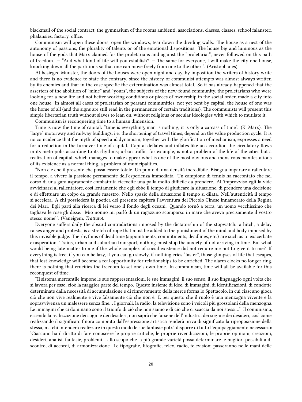blackmail of the social contract, the gymnasium of the rooms ambienti, associations, classes, classes, school falansteri phalansies, factory, office.

Communism will open these doors, open the windows, tear down the dividing walls. The house as a nest of the autonomy of passions, the plurality of talents or of the emotional dispositions. The house big and luminous as the house of the gods that Marx claimed for the proletarians and against the "proletariat", never followed on this path of freedom. — "And what kind of life will you establish? — The same for everyone, I will make the city one house, knocking down all the partitions so that one can move freely from one to the other ". (Aristophanes).

At besieged Munster, the doors of the houses were open night and day, by imposition the writers of history write and there is no evidence to state the contrary, since the history of communist attempts was almost always written by its enemies and that in the case specific the extermination was almost total. So it has already happened that the asserters of the abolition of "mine" and "yours", the subjects of the new-found community, the proletarians who were looking for a new life and not better working conditions or pieces of ownership in the social order, made a city into one house. In almost all cases of proletarian or peasant communities, not yet bent by capital, the house of one was the home of all (and the signs are still read in the permanence of certain traditions). The communists will present this simple libertarian truth without slaves to lean on, without religious or secular ideologies with which to mutilate it.

Communism is reconquering time to a human dimension.

Time is now the time of capital: "time is everything, man is nothing, it is only a carcass of time". (K. Marx). The "large" motorway and railway buildings, i.e. the shortening of travel times, depend on the value production cycle. It is no coincidence that the myth of speed and dynamism, together with the glorification of mechanism, expresses a need for a reduction in the turnover time of capital. Capital deflates and inflates like an accordion the circulatory flows in its metropolis according to its rhythms; urban traffic, for example, is not a problem of the life of the cities but a realization of capital, which manages to make appear what is one of the most obvious and monstrous manifestations of its existence as a normal thing, a problem of municipalities.

"Non c'è che il presente che possa essere totale. Un punto di una densità incredibile. Bisogna imparare a rallentare il tempo, a vivere la passione permanente dell'esperienza immediata. Un campione di tennis ha raccontato che nel corso di una gara aspramente combattuta ricevette una palla molto difficile da prendere. All'improvviso egli la vide avvicinarsi al rallentatore, così lentamente che egli ebbe il tempo di giudicare la situazione, di prendere una decisione e di effettuare un colpo da grande maestro. Nello spazio della situazione il tempo si dilata. Nell'autenticità il tempo si accelera. A chi possiederà la poetica del presente capiterà l'avventura del Piccolo Cinese innamorato della Regina dei Mari. Egli partì alla ricerca di lei verso il fondo degli oceani. Quando tornò a terra, un uomo vecchissimo che tagliava le rose gli disse: 'Mio nonno mi parlò di un ragazzino scomparso in mare che aveva precisamente il vostro stesso nome'". (Vaneigem, *Trattato*).

Everyone suffers daily the absurd contradictions imposed by the dictatorship of the stopwatch: a hitch, a delay raises anger and protests, is a stretch of rope that must be added to the punishment of the mind and body imposed by this invisible judge. The rhythms of dead time (appointments, commitments, deadlines, etc.) are such as to exacerbate exasperation. Trains, urban and suburban transport, nothing must stop the anxiety of not arriving in time. But what would being late matter to me if the whole complex of social existence did not require me not to give it to me? If everything is free, if you can be lazy, if you can go slowly, if nothing cries "faster", those glimpses of life that escapes, that lost knowledge will become a real opportunity for relationships to be enriched. The alarm clocks no longer ring, there is nothing that crucifies the freedom to set one's own time. In communism, time will all be available for this reconquest of time.

"Il sistema mercantile impone le sue rappresentazioni, le sue immagini, il suo senso, il suo linguaggio ogni volta che si lavora per esso, cioè la maggior parte del tempo. Questo insieme di idee, di immagini, di identificazioni, di condotte determinate dalla necessità di accumulazione e di rinnovamento della merce forma lo Spettacolo, in cui ciascuno gioca ciò che non vive realmente e vive falsamente ciò che non è. È per questo che il ruolo è una menzogna vivente e la sopravvivenza un malessere senza fine… I giornali, la radio, la televisione sono i veicoli più grossolani della menzogna. Le immagini che ci dominano sono il trionfo di ciò che non siamo e di ciò che ci scaccia da noi stessi…". Il comunismo, essendo la realizzazione dei sogni e dei desideri, non saprà che farsene dell'industria dei sogni e dei desideri, così come realizzando il significato finora compiuto dall'espressione artistica renderà priva di significato la riproposizione della stessa, ma chi intenderà realizzare in questo modo le sue fantasie potrà disporre di tutto l'equipaggiamento necessario: "Ciascuno ha il diritto di fare conoscere le proprie critiche, le proprie rivendicazioni, le proprie opinioni, creazioni, desideri, analisi, fantasie, problemi… allo scopo che la più grande varietà possa determinare le migliori possibilità di scontro, di accordi, di armonizzazione. Le tipografie, litografie, telex, radio, televisioni passeranno nelle mani delle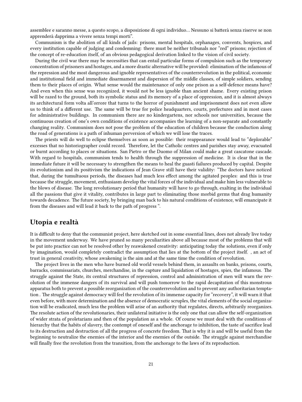assemblee e saranno messe, a questo scopo, a disposizione di ogni individuo… Nessuno si batterà senza riserve se non apprenderà dapprima a vivere senza tempi morti".

Communism is the abolition of all kinds of jails: prisons, mental hospitals, orphanages, convents, hospices, and every institution capable of judging and condemning: there must be neither tribunals nor "red" prisons; rejection of the concept of re-education itself, of an obvious pedagogical derivation linked to the vision of civil society.

During the civil war there may be necessities that can entail particular forms of compulsion such as the temporary concentration of prisoners and hostages, and a more drastic alternative will be provided: elimination of the infamous of the repression and the most dangerous and ignoble representatives of the counterrevolution in the political, economic and institutional field and immediate disarmament and dispersion of the middle classes, of simple soldiers, sending them to their places of origin. What sense would the maintenance of only one prison as a self-defence means have? And even when this sense was recognized, it would not be less ignoble than ancient shame. Every existing prison will be razed to the ground, both its symbolic status and its memory of a place of oppression, and it is almost always its architectural form volta all'orrore that turns to the horror of punishment and imprisonment does not even allow us to think of a different use. The same will be true for police headquarters, courts, prefectures and in most cases for administrative buildings. In communism there are no kindergartens, nor schools nor universities, because the continuous creation of one's own conditions of existence accompanies the learning of a non-separate and constantly changing reality. Communism does not pose the problem of the education of children because the conduction along the road of generations is a path of inhuman perversion of which we will lose the traces.

The priests will do well to eclipse themselves as soon as possible: their reappearance would lead to "deplorable" excesses that no historiographer could record. Therefore, let the Catholic centres and parishes stay away, evacuated or burnt according to places or situations. San Pietro or the Duomo of Milan could make a great cascatone cascade. With regard to hospitals, communism tends to health through the suppression of medicine. It is clear that in the immediate future it will be necessary to strengthen the means to heal the guasti failures produced by capital. Despite its evolutionism and its positivism the indications of Jean Grave still have their validity: "The doctors have noticed that, during the tumultuous periods, the diseases had much less effect among the agitated peoples: and this is true because the struggle, movement, enthusiasm develop the vital forces of the individual and make him less vulnerable to the blows of disease. The long revolutionary period that humanity will have to go through, exalting in the individual all the passions that give it vitality, contributes in large part to eliminating those morbid germs that drag humanity towards decadence. The future society, by bringing man back to his natural conditions of existence, will emancipate it from the diseases and will lead it back to the path of progress ".

#### <span id="page-20-0"></span>**Utopia e realtà**

It is difficult to deny that the communist project, here sketched out in some essential lines, does not already live today in the movement underway. We have pruned so many peculiarities above all because most of the problems that will be put into practice can not be resolved other by reawakened creativity: anticipating today the solutions, even if only by imagination, would completely contradict the assumption that lies at the bottom of the project itself. , an act of trust in general creativity, whose awakening is the aim and at the same time the condition of revolution.

The project lives in the men who have burned old world vessels behind them, in assaults on banks, prisons, courts, barracks, commissariats, churches, merchandise, in the capture and liquidation of hostages, spies, the infamous. The struggle against the State, its central structures of repression, control and administration of men will warn the revolution of the immense dangers of its survival and will push tomorrow to the rapid decapitation of this monstrous apparatus both to prevent a possible reorganization of the counterrevolution and to prevent any authoritarian temptation . The struggle against democracy will feel the revolution of its immense capacity for "recovery", it will warn it that even before, with more determination and the absence of democratic scruples, the vital elements of the social organization will be eradicated, much less the problem will arise of an authority that regulates, directs, arbitrarily reorganizes. The resolute action of the revolutionaries, their unilateral initiative is the only one that can allow the self-organization of wider strata of proletarians and then of the population as a whole. Of course we must deal with the conditions of hierarchy that the habits of slavery, the contempt of oneself and the anchorage to inhibition, the taste of sacrifice lead to its destruction and destruction of all the progress of concrete freedom. That is why it is and will be useful from the beginning to neutralize the enemies of the interior and the enemies of the outside. The struggle against merchandise will finally free the revolution from the transition, from the anchorage to the laws of its reproduction.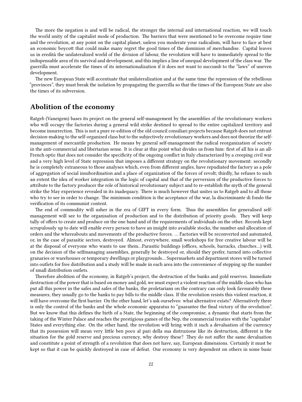The more the negation is and will be radical, the stronger the internal and international reaction, we will touch the world unity of the capitalist mode of production. The barriers that were mentioned to be overcome require time and the revolution, at any point on the capital planet, unless you moderate your radicalism, will have to face at best an economic boycott that could make many regret the good times of the dominion of merchandise. Capital leaves us in eredità the unilateralized world of the division of labour, the revolution will have to immediately spread to the indispensable area of its survival and development, and this implies a line of unequal development of the class war. The guerrilla must accelerate the times of its internationalization if it does not want to succumb to the "laws" of uneven development.

The new European State will accentuate that unilateralization and at the same time the repression of the rebellious "provinces", they must break the isolation by propagating the guerrilla so that the times of the European State are also the times of its subversion.

### <span id="page-21-0"></span>**Abolition of the economy**

Ratgeb (Vaneigem) bases its project on the general self-management by the assemblies of the revolutionary workers who will occupy the factories during a general wild strike destined to spread to the entire capitalized territory and become insurrection. This is not a pure re-edition of the old council consiliari projects because Ratgeb does not entrust decision-making to the self-organized class but to the subjectively revolutionary workers and does not theorize the selfmanagement of mercantile production. He means by general self-management the radical reorganization of society in the anti-commercial and libertarian sense. It is clear at this point what divides us from him: first of all his is an all-French optic that does not consider the specificity of the ongoing conflict in Italy characterized by a creeping civil war and a very high level of State repression that imposes a different strategy on the revolutionary movement: secondly he is completely extraneous to those analyses which, even from different angles, have repudiated the factory as a pole of aggregation of social insubordination and a place of organization of the forces of revolt; thirdly, he refuses to such an extent the idea of worker integration in the logic of capital and that of the perversion of the productive forces to attribute to the factory producer the role of historical revolutionary subject and to re-establish the myth of the general strike the May experience revealed in its inadequacy. There is much however that unites us to Ratgeb and to all those who try to see in order to change. The minimum condition is the acceptance of the war, la discriminante di fondo the verification of its communist content.

The end of commodity will usher in the era of GIFT in every form. Thus the assemblies for generalised selfmanagement will see to the organisation of production and to the distribution of priority goods. They will keep tally of offers to create and produce on the one hand and of the requirements of individuals on the other. Records kept scrupulously up to date will enable every person to have an insight into available stocks, the number and allocation of orders and the whereabouts and movements of the productive forces. … Factories will be reconverted and automated, or, in the case of parasitic sectors, destroyed. Almost, everywhere, small workshops for free creative labour will be at the disposal of everyone who wants to use them…Parasitic buildings (offices, schools, barracks, churches…) will, on the decision of the selfmanaging assemblies, generally be destroyed or, should they prefer, turned into collective granaries or warehouses or temporary dwellings or playgrounds… Supermarkets and department stores will be turned into outlets for free distribution and a study will be made in each area into the convenience of stepping up the number of small distribution outlets.

Therefore abolition of the economy, in Ratgeb's project, the destruction of the banks and gold reserves. Immediate destruction of the power that is based on money and gold, we must expect a violent reaction of the middle class who has put all this power in the safes and safes of the banks, the proletarians on the contrary can only look favourably these measures, they usually go to the banks to pay bills to the middle class. If the revolution resists this violent reaction, it will have overcome the first barrier. On the other hand, let's ask ourselves: what alternative exists? Alternatively there is only the control of the banks and the whole economic apparatus to "guarantee the final victory of the revolution". But we know that this defines the birth of a State, the beginning of the compromise, a dynamic that starts from the taking of the Winter Palace and reaches the prestigious games of the Nep, the commercial treaties with the "capitalist" States and everything else. On the other hand, the revolution will bring with it such a devaluation of the currency that its possession will mean very little ben poco al pari della sua distruzione like its destruction, different is the situation for the gold reserve and precious currency, why destroy these? They do not suffer the same devaluation and constitute a point of strength of a revolution that does not have, say, European dimensions. Certainly it must be kept so that it can be quickly destroyed in case of defeat. Our economy is very dependent on others in some basic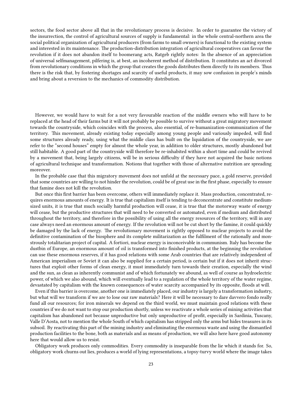sectors, the food sector above all that in the revolutionary process is decisive. In order to guarantee the victory of the insurrection, the control of agricultural sources of supply is fundamental: in the whole central-northern area the social political organization of agricultural producers (from farms to small owners) is functional to the existing system and interested in its maintenance. The production-distribution integration of agricultural cooperatives can favour the revolution if it does not abandon itself to boomerang acts, Ratgeb rightly notes: In the absence of an appreciation of universal selfmanagement, pilfering is, at best, an incoherent method of distribution. It constitutes an act divorced from revolutionary conditions in which the group that creates the goods distributes them directly to its members. Thus there is the risk that, by fostering shortages and scarcity of useful products, it may sow confusion in people's minds and bring about a reversion to the mechanics of commodity distribution.

However, we would have to wait for a not very favourable reaction of the middle owners who will have to be replaced at the head of their farms but it will not probably be possible to survive without a great migratory movement towards the countryside, which coincides with the process, also essential, of re-humanization-communization of the territory. This movement, already existing today especially among young people and variously impeded, will find some structures already ready, using what the middle class has built on the liquidation of the countryside, we are refer to the "second houses" empty for almost the whole year, in addition to older structures, mostly abandoned but still habitable. A good part of the countryside will therefore be re-inhabited within a short time and could be revived by a movement that, being largely citizens, will be in serious difficulty if they have not acquired the basic notions of agricultural technique and transformation. Notions that together with those of alternative nutrition are spreading moreover.

In the probable case that this migratory movement does not unfold at the necessary pace, a gold reserve, provided that some countries are willing to not hinder the revolution, could be of great use in the first phase, especially to ensure that famine does not kill the revolution.

But once this first barrier has been overcome, others will immediately replace it. Mass production, concentrated, requires enormous amounts of energy. It is true that capitalism itself is tending to deconcentrate and constitute mediumsized units, it is true that much socially harmful production will cease, it is true that the motorway waste of energy will cease, but the productive structures that will need to be converted or automated, even if medium and distributed throughout the territory, and therefore in the possibility of using all the energy resources of the territory, will in any case always need an enormous amount of energy. If the revolution will not be cut short by the famine, it could quickly be damaged by the lack of energy. The revolutionary movement is rightly opposed to nuclear projects to avoid the definitive contamination of the biosphere and its complete militarization as the fulfilment of the rationally and monstrously totalitarian project of capital. A fortiori, nuclear energy is inconceivable in communism. Italy has become the dustbin of Europe, an enormous amount of oil is transformed into finished products, at the beginning the revolution can use these enormous reserves, if it has good relations with some Arab countries that are relatively independent of American imperialism or Soviet it can also be supplied for a certain period, is certain but if it does not inherit structures that exploit other forms of clean energy, it must immediately turn towards their creation, especially the wind and the sun, as clean as inherently communist and of which fortunately we abound, as well of course as hydroelectric power, of which we also abound, which will eventually lead to a regulation of the whole territory of the water regime, devastated by capitalism with the known consequences of water scarcity accompanied by its opposite, floods at will.

Even if this barrier is overcome, another one is immediately placed, our industry is largely a transformation industry, but what will we transform if we are to lose our raw materials? Here it will be necessary to dare davvero fondo really fund all our resources; for iron minerals we depend on the third world, we must maintain good relations with these countries if we do not want to stop our production shortly, unless we reactivate a whole series of mining activities that capitalism has abandoned not because unproductive but only unproductive of profit, especially in Sardinia, Tuscany, Valle D'Aosta, not to mention the whole South of which capitalism has stripped only the arms but hides treasures in its subsoil. By reactivating this part of the mining industry and eliminating the enormous waste and using the dismantled production facilities to the bone, both as materials and as means of production, we will also here have good autonomy here that would allow us to resist.

Obligatory work produces only commodities. Every commodity is inseparable from the lie which it stands for. So, obligatory work churns out lies, produces a world of lying representations, a topsy-turvy world where the image takes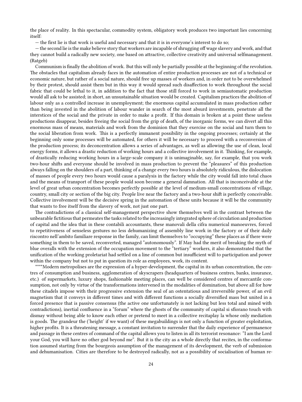the place of reality. In this spectacular, commodity system, obligatory work produces two important lies concerning itself:

— the first lie is that work is useful and necessary and that it is in everyone's interest to do so;

— the second lie is the make believe story that workers are incapable of shrugging off wage slavery and work, and that they cannot build a radically new society, one based on attractive, collective creativity and universal selfmanagement. (Ratgeb)

Communism is finally the abolition of work. But this will only be partially possible at the beginning of the revolution. The obstacles that capitalism already faces in the automation of entire production processes are not of a technical or economic nature, but rather of a social nature, should free up masses of workers and, in order not to be overwhelmed by their protest, should assist them but in this way it would spread such disaffection to work throughout the social fabric that could be lethal to it, in addition to the fact that those still forced to work in semiautomatic production would all ask to be assisted; in short, an unsustainable situation would be created. Capitalism practices the abolition of labour only as a controlled increase in unemployment; the enormous capital accumulated in mass production rather than being invested in the abolition of labour wander in search of the most absurd investments, penetrate all the interstices of the social and the private in order to make a profit. If this domain is broken at a point these useless productions disappear, besides freeing the social from the grip of death, of the inorganic forms, we can divert all this enormous mass of means, materials and work from the dominion that they exercise on the social and turn them to the social liberation from work. This is a perfectly immanent possibility in the ongoing processes; certainly at the beginning only some processes will be automated, for others it will be necessary to proceed with a reconversion of the production process; its deconcentration allows a series of advantages, as well as allowing the use of clean, local energy forms, it allows a drastic reduction of working hours and a collective involvement in it. Thinking, for example, of drastically reducing working hours in a large-scale company it is unimaginable, say, for example, that you work two-hour shifts and everyone should be involved in mass production to prevent the "pleasures" of this production always falling on the shoulders of a part, thinking of a change every two hours is absolutely ridiculous, the dislocation of masses of people every two hours would cause a paralysis in the factory while the city would fall into total chaos and the means of transport of these people would soon become a general damnation. All that is inconceivable at the level of great urban concentration becomes perfectly possible at the level of medium-small concentrations of village, country, small city or section of the big city. People live near the factory and a two-hour shift is perfectly conceivable. Collective involvement will be the decisive spring in the automation of these units because it will be the community that wants to free itself from the slavery of work, not just one part.

The contradictions of a classical self-management perspective show themselves well in the contrast between the unbearable fictitious that permeates the tasks related to the increasingly integrated sphere of circulation and production of capital and the idea that in these contabili accountants, these manovali della cifra numerical manoeuvres, forced to repetitiveness of senseless gestures no less dehumanizing of assembly line work in the factory or of their daily riscontro nell'ambito familiare response in the family, can limit themselves to "occupying" these places as if there were something in them to be saved, reconverted, managed "autonomously". If May had the merit of breaking the myth of blue overalls with the extension of the occupation movement to the "tertiary" workers, it also demonstrated that the unification of the working proletariat had settled on a line of common but insufficient will to participation and power within the company but not to put in question its role as employees, work, its content.

\*\*\*\*Modern metropolises are the expression of a hyper-development, the capital in its urban concentration, the centres of consumption and business, agglomeration of skyscrapers (headquarters of business centres, banks, insurance, etc.) of supermarkets, luxury shops, fashionable meeting places, can well be considered centres of mercantile consumption, not only by virtue of the transformations intervened in the modalities of domination, but above all for how these citadels impose with their progressive extension the seal of an ostentatious and irreversible power, of an evil magnetism that it conveys in different times and with different functions a socially diversified mass but united in a forced presence that is passive consensus (the active one unfortunately is not lacking but less total and mined with contradictions), inertial confluence in a "forum" where the ghosts of the community of capital si sfiorano touch with dismay without being able to know each other or pretend to meet in a collective recitaplay la whose only mediation is goods. The grandeur the ('height' if we want) of these megabuildings is not only a function of greater exploitation, higher profits. It is a threatening message, a constant invitation to surrender that the daily experience of permanence and passage in these centres of command of the capital allows you to listen in all its terrorist resonance: "I am the Lord your God, you will have no other god beyond me". But it is the city as a whole directly that recites, in the conformation assumed starting from the bourgeois assumption of the management of its development, the verb of submission and dehumanisation. Cities are therefore to be destroyed radically, not as a possibility of socialisation of human re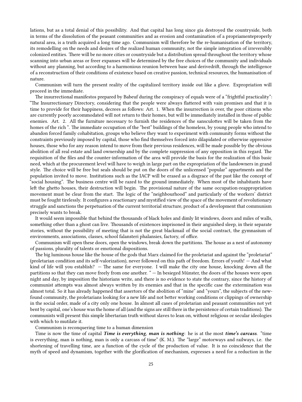lations, but as a total denial of this possibility. And that capital has long since gia destroyed the countryside, both in terms of the dissolution of the peasant communities and as erosion and contamination of a propriamenteproperly natural area, is a truth acquired a long time ago. Communism will therefore be the re-humanisation of the territory, its remodelling on the needs and desires of the realized human community, not the simple integration of irreversibly colonized entities. There will be no more cities or countryside but a distribution spread throughout the territory whose scanning into urban areas or freer expanses will be determined by the free choices of the community and individuals without any planning, but according to a harmonious reunion between base and derivedrift, through the intelligence of a reconstruction of their conditions of existence based on creative passion, technical resources, the humanisation of nature.

Communism will turn the present reality of the capitalized territory inside out like a glove. Expropriation will proceed in the immediate.

The insurrectional manifestos prepared by Babeuf during the conspiracy of equals were of a "frightful practicality": "The Insurrectionary Directory, considering that the people were always flattered with vain promises and that it is time to provide for their happiness, decrees as follows: Art. 1. When the insurrection is over, the poor citizens who are currently poorly accommodated will not return to their homes, but will be immediately installed in those of public enemies. Art. 2. All the furniture necessary to furnish the residences of the sansculottes will be taken from the homes of the rich ". The immediate occupation of the "best" buildings of the homeless, by young people who intend to abandon forced family cohabitation, groups who believe they want to experiment with community forms without the constraints previously imposed by capital, those who find themselves forced into dilapidated or otherwise oppressive houses, those who for any reason intend to move from their previous residences, will be made possible by the obvious abolition of all real estate and land ownership and by the complete suppression of any opposition in this regard. The requisition of the files and the counter-information of the area will provide the basis for the realization of this basic need, which at the procurement level will have to weigh in large part on the expropriation of the landowners in grand style. The choice will be free but seals should be put on the doors of the unlicensed "popular" appartments and the population invited to move. Institutions such as the IACP will be erased as a disgrace of the past like the concept of "social housing". The business centre will be razed to the ground immediately. When most of the inhabitants have left the ghetto houses, their destruction will begin. The provisional nature of the same occupation-reappropriation movement must be clear from the start. The logic of the "neighbourhood" and particularly of the workers' district must be fought tirelessly. It configures a reactionary and mystified view of the space of the movement of revolutionary struggle and sanctions the perpetuation of the current territorial structure, product of a development that communism precisely wants to break.

It would seem impossible that behind the thousands of black holes and dimly lit windows, doors and miles of walls, something other than a ghost can live. Thousands of existences imprisoned in their anguished sleep, in their separate stories, without the possibility of meeting that is not the great blackmail of the social contract, the gymnasium of environments, associations, classes, school falansteri phalansies, factory, of office.

Communism will open these doors, open the windows, break down the partitions. The house as a nest of autonomy of passions, plurality of talents or emotional dispositions.

The big luminous house like the house of the gods that Marx claimed for the proletariat and against the "proletariat" (proletarian condition and its self-valorization), never followed on this path of freedom. Errors of youth! — And what kind of life will you establish? — The same for everyone. I will make the city one house, knocking down all the partitions so that they can move freely from one another. " — In besieged Münster, the doors of the houses were open night and day, by imposition the historians write, and there is no evidence to state the contrary, since the history of communist attempts was almost always written by its enemies and that in the specific case the extermination was almost total. So it has already happened that assertors of the abolition of "mine" and "yours", the subjects of the newfound community, the proletarians looking for a new life and not better working conditions or clippings of ownership in the social order, made of a city only one house. In almost all cases of proletarian and peasant communities not yet bent by capital, one's house was the home of all (and the signs are still there in the persistence of certain traditions). The communists will present this simple libertarian truth without slaves to lean on, without religious or secular ideologies with which to mutilate it.

#### Communism is reconquering time to a human dimension

Time is now the time of capital *Time is everything*, *man is nothing*: he is at the most *time's carcass*. "time is everything, man is nothing, man is only a carcass of time" (K. M.). The "large" motorways and railways, i.e. the shortening of travelling time, are a function of the cycle of the production of value. It is no coincidence that the myth of speed and dynamism, together with the glorification of mechanism, expresses a need for a reduction in the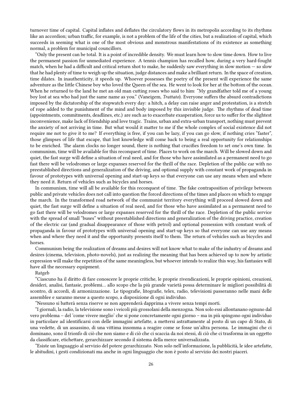turnover time of capital. Capital inflates and deflates the circulatory flows in its metropolis according to its rhythms like an accordion; urban traffic, for example, is not a problem of the life of the cities, but a realization of capital, which succeeds in seeming what is one of the most obvious and monstrous manifestations of its existence as something normal, a problem for municipal councillors.

"Only the present can be total. It is a point of incredible density. We must learn how to slow time down. How to live the permanent passion for unmediated experience. A tennis champion has recalled how, during a very hard-fought match, when he had a difficult and critical return shot to make, he suddenly saw everything in slow motion — so slow that he had plenty of time to weigh up the situation, judge distances and make a brilliant return. In the space of creation, time dilates. In inauthenticity, it speeds up. Whoever possesses the poetry of the present will experience the same adventure as the little Chinese boy who loved the Queen of the sea. He went to look for her at the bottom of the ocean. When he returned to the land he met an old man cutting roses who said to him: "My grandfather told me of a young boy lost at sea who had just the same name as you." (Vaneigem, *Trattato*). Everyone suffers the absurd contradictions imposed by the dictatorship of the stopwatch every day: a hitch, a delay can raise anger and protestation, is a stretch of rope added to the punishment of the mind and body imposed by this invisible judge. The rhythms of dead time (appointments, commitments, deadlines, etc.) are such as to exacerbate exasperation, force us to suffer for the slightest inconvenience, make lack of friendship and love tragic. Trains, urban and extra-urban transport, nothing must prevent the anxiety of not arriving in time. But what would it matter to me if the whole complex of social existence did not require me not to give it to me? If everything is free, if you can be lazy, if you can go slow, if nothing cries "faster", those glimpses of life that escape, that lost knowledge will come back to being a real opportunity for relationships to be enriched. The alarm clocks no longer sound, there is nothing that crucifies freedom to set one's own time. In communism, time will be available for this reconquest of time. Places to work on the march. Will be slowed down and quiet, the fast surge will define a situation of real need, and for those who have assimilated as a permanent need to go fast there will be velodromes or large expanses reserved for the thrill of the race. Depletion of the public car with no preestablished directions and generalization of the driving, and optional supply with constant work of propaganda in favour of prototypes with universal opening and start-up keys so that everyone can use any means when and where they need it. Return of vehicles such as bicycles and horses.

In communism, time will all be available for this reconquest of time. The fake contraposition of privilege between public and private vehicles does not call into question the forced directions of the times and places on which to engage the march. In the transformed road network of the communist territory everything will proceed slowed down and quiet, the fast surge will define a situation of real need, and for those who have assimilated as a permanent need to go fast there will be velodromes or large expanses reserved for the thrill of the race. Depletion of the public service with the spread of small "buses" without preestablished directions and generalization of the driving practice, creation of the electric car (and gradual disappearance of those with petrol) and optional possession with constant work of propaganda in favour of prototypes with universal opening and start-up keys so that everyone can use any means when and where they need it and the opportunity presents itself to them. The return of vehicles such as bicycles and horses.

Communism being the realization of dreams and desires will not know what to make of the industry of dreams and desires (cinema, television, photo-novels), just as realizing the meaning that has been achieved up to now by artistic expression will make the repetition of the same meaningless, but whoever intends to realize this way, his fantasies will have all the necessary equipment.

Ratgeb

"Ciascuno ha il diritto di fare conoscere le proprie critiche, le proprie rivendicazioni, le proprie opinioni, creazioni, desideri, analisi, fantasie, problemi… allo scopo che la più grande varietà possa determinare le migliori possibilità di scontro, di accordi, di armonizzazione. Le tipografie, litografie, telex, radio, televisioni passeranno nelle mani delle assemblee e saranno messe a questo scopo, a disposizione di ogni individuo.

"Nessuno si batterà senza riserve se non apprenderà dapprima a vivere senza tempi morti.

"I giornali, la radio, la televisione sono i veicoli più grossolani della menzogna. Non solo essi allontanano ognuno dal vero problema – del 'come vivere meglio' che si pone concretamente ogni giorno – ma in più spingono ogni individuo in particolare ad identificarsi con delle immagini artefatte, a mettersi astrattamente al posto di un capo di Stato, di una vedette, di un assassino, di una vittima insomma a reagire come se fosse un'altra persona. Le immagini che ci dominano, sono il trionfo di ciò che non siamo e di ciò che ci scaccia da noi stessi, di ciò che ci trasforma in un oggetto da classificare, etichettare, gerarchizzare secondo il sistema della merce universalizzata.

"Esiste un linguaggio al servizio del potere gerarchizzato. Non solo nell'informazione, la pubblicità, le idee artefatte, le abitudini, i gesti condizionati ma anche in ogni linguaggio che non è posto al servizio dei nostri piaceri.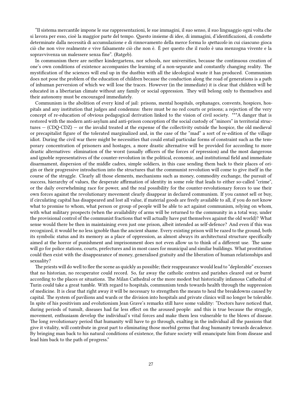"Il sistema mercantile impone le sue rappresentazioni, le sue immagini, il suo senso, il suo linguaggio ogni volta che si lavora per esso, cioè la maggior parte del tempo. Questo insieme di idee, di immagini, d'identificazioni, di condotte determinate dalla necessità di accumulazione e di rinnovamento della merce forma lo *spettacolo* in cui ciascuno gioca ciò che non vive realmente e vive falsamente ciò che non è. È per questo che il ruolo è una menzogna vivente e la sopravvivenza un malessere senza fine". (Ratgeb).

In communism there are neither kindergartens, nor schools, nor universities, because the continuous creation of one's own conditions of existence accompanies the learning of a non-separate and constantly changing reality. The mystification of the sciences will end up in the dustbin with all the ideological waste it has produced. Communism does not pose the problem of the education of children because the conduction along the road of generations is a path of inhuman perversion of which we will lose the traces. However (in the immediate) it is clear that children will be educated in a libertarian climate without any family or social oppression. They will belong only to themselves and their autonomy must be encouraged immediately.

Communism is the abolition of every kind of jail: prisons, mental hospitals, orphanages, convents, hospices, hospitals and any institution that judges and condemns: there must be no red courts or prisons; a rejection of the very concept of re-education of obvious pedagogical derivation linked to the vision of civil society. \*\*\*A danger that is restored with the modern anti-asylum and anti-prison conception of the social custody of "minors" in territorial structures — (CDQ-CDZ) — or the invalid treated at the expense of the collectivity outside the hospice, the old medieval or precapitalist figure of the tolerated marginalized and, in the case of the "mad" a sort of re-edition of the village idiot. During the civil war there might be necessities that could entail particular forms of constraint such as the temporary concentration of prisoners and hostages, a more drastic alternative will be provided for according to more drastic alternatives: elimination of the worst (usually officers of the forces of repression) and the most dangerous and ignoble representatives of the counter-revolution in the political, economic, and institutional field and immediate disarmament, dispersion of the middle cadres, simple soldiers, in this case sending them back to their places of origin or their progressive introduction into the structures that the communist revolution will come to give itself in the course of the struggle. Clearly all those elements, mechanisms such as money, commodity exchange, the pursuit of success, hierarchy of values, the desperate affirmation of identity in some role that leads to either so-called "crime", or the daily overwhelming race for power, and the real possibility for the counter-revolutionary forces to use their own forces against the revolutionary movement clearly disappear in declared communism. If you cannot sell or buy, if circulating capital has disappeared and lost all value, if material goods are freely available to all, if you do not know what to promise to whom, what person or group of people will be able to act against communism, relying on whom, with what military prospects (when the availability of arms will be returned to the community in a total way, under the provisional control of the communist fractions that will actually have put themselves against the old world)? What sense would there be then in maintaining even just one prison, albeit intended as self-defence? And even if this was recognized, it would be no less ignoble than the ancient shame. Every existing prison will be razed to the ground, both its symbolic status and its memory as a place of oppression, as almost always its architectural structure specifically aimed at the horror of punishment and imprisonment does not even allow us to think of a different use. The same will go for police stations, courts, prefectures and in most cases for municipal and similar buildings. What prostitution could then exist with the disappearance of money, generalised gratuity and the liberation of human relationships and sexuality?

The priests will do well to flee the scene as quickly as possible; their reappearance would lead to "deplorable" excesses that no historian, no recuperator could record. So, far away the catholic centres and parishes cleared out or burnt according to the places or situations. The Milan Cathedral or the more modest but historically infamous Cathedral of Turin could take a great tumble. With regard to hospitals, communism tends towards health through the suppression of medicine. It is clear that right away it will be necessary to strengthen the means to heal the breakdowns caused by capital. The system of pavilions and wards or the division into hospitals and private clinics will no longer be tolerable. In spite of his positivism and evolutionism Jean Grave's remarks still have some validity: "Doctors have noticed that, during periods of tumult, diseases had far less effect on the aroused people: and this is true because the struggle, movement, enthusiasm develop the individual's vital forces and make them less vulnerable to the blows of disease. The long revolutionary period that humanity will have to go through, exalting in the individual all the passions that give it vitality, will contribute in great part to eliminating those morbid germs that drag humanity towards decadence. By bringing man back to his natural conditions of existence, the future society will emancipate him from disease and lead him back to the path of progress."